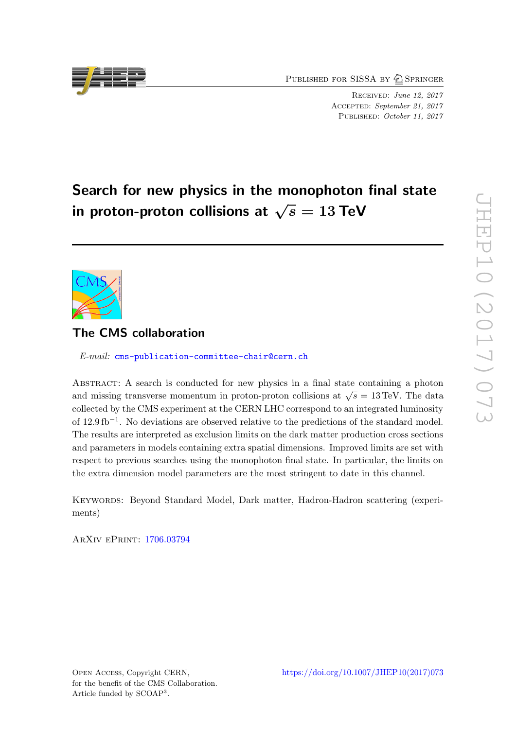PUBLISHED FOR SISSA BY 2 SPRINGER

Received: June 12, 2017 ACCEPTED: September 21, 2017 PUBLISHED: October 11, 2017

# Search for new physics in the monophoton final state in proton-proton collisions at  $\sqrt{s} = 13$  TeV



# The CMS collaboration

E-mail: [cms-publication-committee-chair@cern.ch](mailto:cms-publication-committee-chair@cern.ch)

Abstract: A search is conducted for new physics in a final state containing a photon and missing transverse momentum in proton-proton collisions at  $\sqrt{s} = 13 \text{ TeV}$ . The data collected by the CMS experiment at the CERN LHC correspond to an integrated luminosity of 12.9 fb<sup>-1</sup>. No deviations are observed relative to the predictions of the standard model. The results are interpreted as exclusion limits on the dark matter production cross sections and parameters in models containing extra spatial dimensions. Improved limits are set with respect to previous searches using the monophoton final state. In particular, the limits on the extra dimension model parameters are the most stringent to date in this channel.

Keywords: Beyond Standard Model, Dark matter, Hadron-Hadron scattering (experiments)

ArXiv ePrint: [1706.03794](https://arxiv.org/abs/1706.03794)

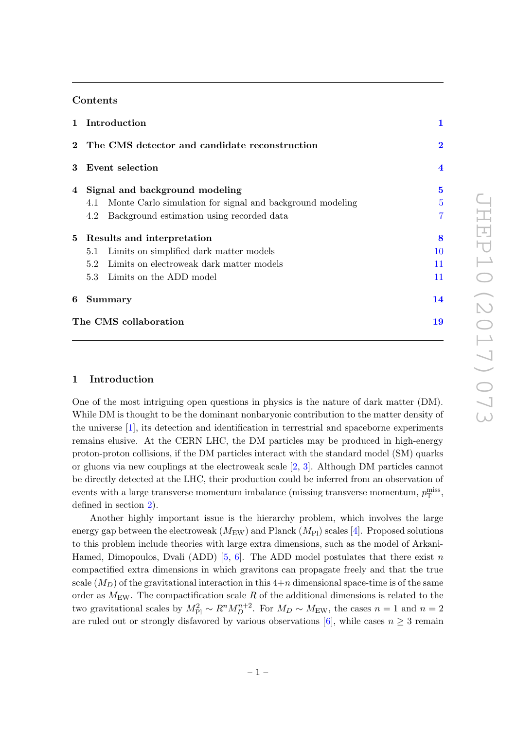# Contents

|                       | 1 Introduction                                                   |                         |  |  |
|-----------------------|------------------------------------------------------------------|-------------------------|--|--|
| $2-$                  | The CMS detector and candidate reconstruction                    |                         |  |  |
|                       | 3 Event selection                                                | $\overline{\mathbf{4}}$ |  |  |
| 4                     | Signal and background modeling                                   | $\mathbf{5}$            |  |  |
|                       | Monte Carlo simulation for signal and background modeling<br>4.1 | $\overline{5}$          |  |  |
|                       | Background estimation using recorded data<br>4.2                 | $\overline{7}$          |  |  |
|                       | 5 Results and interpretation                                     | 8                       |  |  |
|                       | Limits on simplified dark matter models<br>5.1                   | 10                      |  |  |
|                       | Limits on electroweak dark matter models<br>5.2                  | 11                      |  |  |
|                       | Limits on the ADD model<br>5.3                                   | 11                      |  |  |
| 6.                    | Summary                                                          | 14                      |  |  |
| The CMS collaboration |                                                                  |                         |  |  |
|                       |                                                                  |                         |  |  |

## <span id="page-1-0"></span>1 Introduction

One of the most intriguing open questions in physics is the nature of dark matter (DM). While DM is thought to be the dominant nonbaryonic contribution to the matter density of the universe [\[1\]](#page-15-0), its detection and identification in terrestrial and spaceborne experiments remains elusive. At the CERN LHC, the DM particles may be produced in high-energy proton-proton collisions, if the DM particles interact with the standard model (SM) quarks or gluons via new couplings at the electroweak scale [\[2,](#page-15-1) [3\]](#page-15-2). Although DM particles cannot be directly detected at the LHC, their production could be inferred from an observation of events with a large transverse momentum imbalance (missing transverse momentum,  $p_T^{\text{miss}}$ , defined in section [2\)](#page-2-0).

Another highly important issue is the hierarchy problem, which involves the large energy gap between the electroweak  $(M_{\text{EW}})$  and Planck  $(M_{\text{Pl}})$  scales [\[4\]](#page-15-3). Proposed solutions to this problem include theories with large extra dimensions, such as the model of Arkani-Hamed, Dimopoulos, Dvali (ADD) [\[5,](#page-15-4) [6\]](#page-15-5). The ADD model postulates that there exist n compactified extra dimensions in which gravitons can propagate freely and that the true scale  $(M_D)$  of the gravitational interaction in this  $4+n$  dimensional space-time is of the same order as  $M_{\text{EW}}$ . The compactification scale R of the additional dimensions is related to the two gravitational scales by  $M_{\text{Pl}}^2 \sim R^n M_D^{n+2}$ . For  $M_D \sim M_{\text{EW}}$ , the cases  $n = 1$  and  $n = 2$ are ruled out or strongly disfavored by various observations [\[6\]](#page-15-5), while cases  $n \geq 3$  remain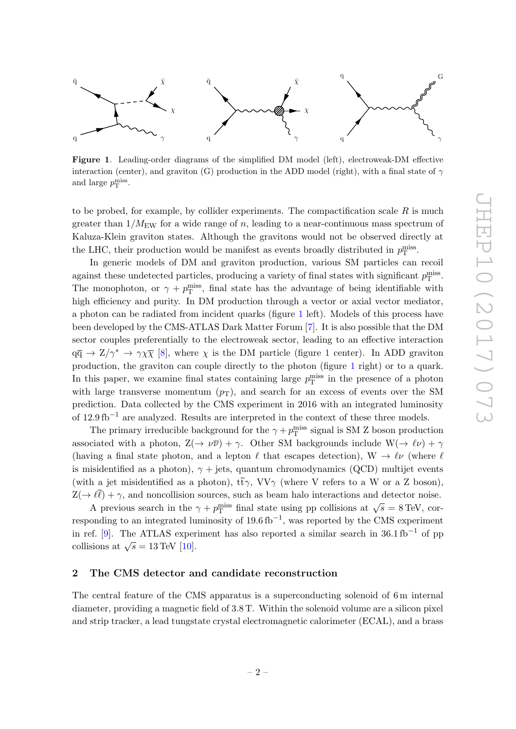

<span id="page-2-1"></span>Figure 1. Leading-order diagrams of the simplified DM model (left), electroweak-DM effective interaction (center), and graviton (G) production in the ADD model (right), with a final state of  $\gamma$ and large  $p_T^{\text{miss}}$ .

to be probed, for example, by collider experiments. The compactification scale  $R$  is much greater than  $1/M_{\text{EW}}$  for a wide range of n, leading to a near-continuous mass spectrum of Kaluza-Klein graviton states. Although the gravitons would not be observed directly at the LHC, their production would be manifest as events broadly distributed in  $p_T^{\text{miss}}$ .

In generic models of DM and graviton production, various SM particles can recoil against these undetected particles, producing a variety of final states with significant  $p_T^{\text{miss}}$ . The monophoton, or  $\gamma + p_T^{\text{miss}}$ , final state has the advantage of being identifiable with high efficiency and purity. In DM production through a vector or axial vector mediator, a photon can be radiated from incident quarks (figure [1](#page-2-1) left). Models of this process have been developed by the CMS-ATLAS Dark Matter Forum [\[7\]](#page-15-6). It is also possible that the DM sector couples preferentially to the electroweak sector, leading to an effective interaction  $q\bar{q} \to Z/\gamma^* \to \gamma \chi \bar{\chi}$  [\[8\]](#page-16-0), where  $\chi$  is the DM particle (figure [1](#page-2-1) center). In ADD graviton production, the graviton can couple directly to the photon (figure [1](#page-2-1) right) or to a quark. In this paper, we examine final states containing large  $p_T^{\text{miss}}$  in the presence of a photon with large transverse momentum  $(p_T)$ , and search for an excess of events over the SM prediction. Data collected by the CMS experiment in 2016 with an integrated luminosity of 12.9 fb<sup>-1</sup> are analyzed. Results are interpreted in the context of these three models.

The primary irreducible background for the  $\gamma + p_T^{\text{miss}}$  signal is SM Z boson production associated with a photon,  $\mathbb{Z}(\rightarrow \nu\bar{\nu}) + \gamma$ . Other SM backgrounds include  $W(\rightarrow \ell\nu) + \gamma$ (having a final state photon, and a lepton  $\ell$  that escapes detection), W  $\rightarrow \ell \nu$  (where  $\ell$ is misidentified as a photon),  $\gamma$  + jets, quantum chromodynamics (QCD) multijet events (with a jet misidentified as a photon),  $t\bar{t}\gamma$ , VV $\gamma$  (where V refers to a W or a Z boson),  $Z(\rightarrow \ell \bar{\ell}) + \gamma$ , and noncollision sources, such as beam halo interactions and detector noise.

A previous search in the  $\gamma + p_T^{\text{miss}}$  final state using pp collisions at  $\sqrt{s} = 8 \text{ TeV}$ , corresponding to an integrated luminosity of  $19.6 \text{ fb}^{-1}$ , was reported by the CMS experiment in ref. [\[9\]](#page-16-1). The ATLAS experiment has also reported a similar search in  $36.1 \text{ fb}^{-1}$  of pp collisions at  $\sqrt{s} = 13$  TeV [\[10\]](#page-16-2).

#### <span id="page-2-0"></span>2 The CMS detector and candidate reconstruction

The central feature of the CMS apparatus is a superconducting solenoid of 6 m internal diameter, providing a magnetic field of 3.8 T. Within the solenoid volume are a silicon pixel and strip tracker, a lead tungstate crystal electromagnetic calorimeter (ECAL), and a brass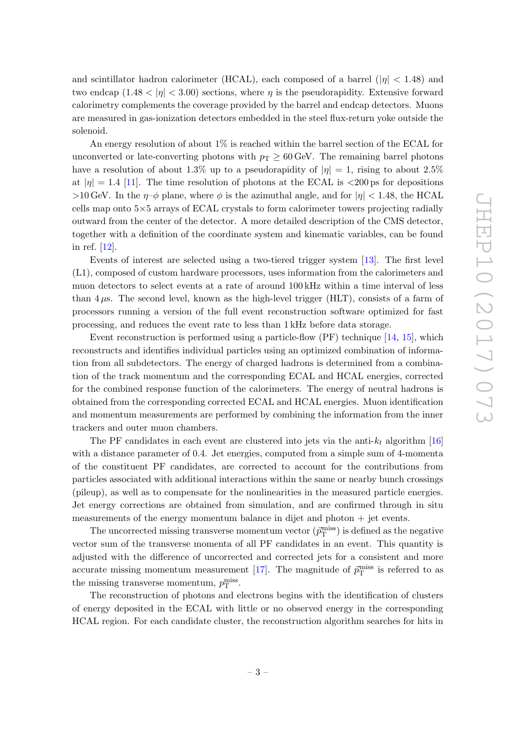and scintillator hadron calorimeter (HCAL), each composed of a barrel ( $|\eta| < 1.48$ ) and two endcap  $(1.48 < |\eta| < 3.00)$  sections, where  $\eta$  is the pseudorapidity. Extensive forward calorimetry complements the coverage provided by the barrel and endcap detectors. Muons are measured in gas-ionization detectors embedded in the steel flux-return yoke outside the solenoid.

An energy resolution of about 1% is reached within the barrel section of the ECAL for unconverted or late-converting photons with  $p_T \geq 60$  GeV. The remaining barrel photons have a resolution of about 1.3% up to a pseudorapidity of  $|\eta| = 1$ , rising to about 2.5% at  $|\eta| = 1.4$  [\[11\]](#page-16-3). The time resolution of photons at the ECAL is <200 ps for depositions >10 GeV. In the  $\eta$ - $\phi$  plane, where  $\phi$  is the azimuthal angle, and for  $|\eta|$  < 1.48, the HCAL cells map onto  $5\times 5$  arrays of ECAL crystals to form calorimeter towers projecting radially outward from the center of the detector. A more detailed description of the CMS detector, together with a definition of the coordinate system and kinematic variables, can be found in ref. [\[12\]](#page-16-4).

Events of interest are selected using a two-tiered trigger system [\[13\]](#page-16-5). The first level (L1), composed of custom hardware processors, uses information from the calorimeters and muon detectors to select events at a rate of around 100 kHz within a time interval of less than  $4 \mu s$ . The second level, known as the high-level trigger (HLT), consists of a farm of processors running a version of the full event reconstruction software optimized for fast processing, and reduces the event rate to less than 1 kHz before data storage.

Event reconstruction is performed using a particle-flow (PF) technique [\[14,](#page-16-6) [15\]](#page-16-7), which reconstructs and identifies individual particles using an optimized combination of information from all subdetectors. The energy of charged hadrons is determined from a combination of the track momentum and the corresponding ECAL and HCAL energies, corrected for the combined response function of the calorimeters. The energy of neutral hadrons is obtained from the corresponding corrected ECAL and HCAL energies. Muon identification and momentum measurements are performed by combining the information from the inner trackers and outer muon chambers.

The PF candidates in each event are clustered into jets via the anti- $k_t$  algorithm [\[16\]](#page-16-8) with a distance parameter of 0.4. Jet energies, computed from a simple sum of 4-momenta of the constituent PF candidates, are corrected to account for the contributions from particles associated with additional interactions within the same or nearby bunch crossings (pileup), as well as to compensate for the nonlinearities in the measured particle energies. Jet energy corrections are obtained from simulation, and are confirmed through in situ measurements of the energy momentum balance in dijet and photon + jet events.

The uncorrected missing transverse momentum vector  $(\vec{p}_{\text{T}}^{\text{miss}})$  is defined as the negative vector sum of the transverse momenta of all PF candidates in an event. This quantity is adjusted with the difference of uncorrected and corrected jets for a consistent and more accurate missing momentum measurement [\[17\]](#page-16-9). The magnitude of  $\vec{p}_{\rm T}^{\rm miss}$  is referred to as the missing transverse momentum,  $p_T^{\text{miss}}$ .

The reconstruction of photons and electrons begins with the identification of clusters of energy deposited in the ECAL with little or no observed energy in the corresponding HCAL region. For each candidate cluster, the reconstruction algorithm searches for hits in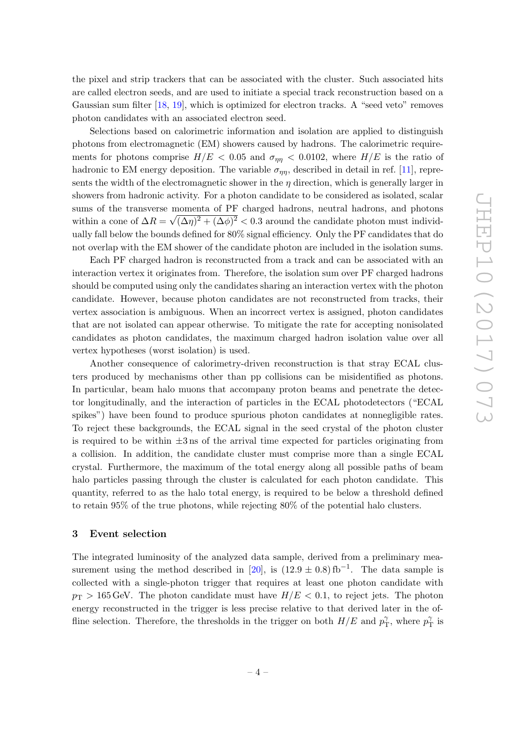the pixel and strip trackers that can be associated with the cluster. Such associated hits are called electron seeds, and are used to initiate a special track reconstruction based on a Gaussian sum filter [\[18,](#page-16-10) [19\]](#page-16-11), which is optimized for electron tracks. A "seed veto" removes photon candidates with an associated electron seed.

Selections based on calorimetric information and isolation are applied to distinguish photons from electromagnetic (EM) showers caused by hadrons. The calorimetric requirements for photons comprise  $H/E < 0.05$  and  $\sigma_{\eta\eta} < 0.0102$ , where  $H/E$  is the ratio of hadronic to EM energy deposition. The variable  $\sigma_{nn}$ , described in detail in ref. [\[11\]](#page-16-3), represents the width of the electromagnetic shower in the  $\eta$  direction, which is generally larger in showers from hadronic activity. For a photon candidate to be considered as isolated, scalar sums of the transverse momenta of PF charged hadrons, neutral hadrons, and photons within a cone of  $\Delta R = \sqrt{(\Delta \eta)^2 + (\Delta \phi)^2} < 0.3$  around the candidate photon must individually fall below the bounds defined for 80% signal efficiency. Only the PF candidates that do not overlap with the EM shower of the candidate photon are included in the isolation sums.

Each PF charged hadron is reconstructed from a track and can be associated with an interaction vertex it originates from. Therefore, the isolation sum over PF charged hadrons should be computed using only the candidates sharing an interaction vertex with the photon candidate. However, because photon candidates are not reconstructed from tracks, their vertex association is ambiguous. When an incorrect vertex is assigned, photon candidates that are not isolated can appear otherwise. To mitigate the rate for accepting nonisolated candidates as photon candidates, the maximum charged hadron isolation value over all vertex hypotheses (worst isolation) is used.

Another consequence of calorimetry-driven reconstruction is that stray ECAL clusters produced by mechanisms other than pp collisions can be misidentified as photons. In particular, beam halo muons that accompany proton beams and penetrate the detector longitudinally, and the interaction of particles in the ECAL photodetectors ("ECAL spikes") have been found to produce spurious photon candidates at nonnegligible rates. To reject these backgrounds, the ECAL signal in the seed crystal of the photon cluster is required to be within  $\pm 3$  ns of the arrival time expected for particles originating from a collision. In addition, the candidate cluster must comprise more than a single ECAL crystal. Furthermore, the maximum of the total energy along all possible paths of beam halo particles passing through the cluster is calculated for each photon candidate. This quantity, referred to as the halo total energy, is required to be below a threshold defined to retain 95% of the true photons, while rejecting 80% of the potential halo clusters.

#### <span id="page-4-0"></span>3 Event selection

The integrated luminosity of the analyzed data sample, derived from a preliminary mea-surement using the method described in [\[20\]](#page-16-12), is  $(12.9 \pm 0.8)$  fb<sup>-1</sup>. The data sample is collected with a single-photon trigger that requires at least one photon candidate with  $p_{\rm T} > 165$  GeV. The photon candidate must have  $H/E < 0.1$ , to reject jets. The photon energy reconstructed in the trigger is less precise relative to that derived later in the offline selection. Therefore, the thresholds in the trigger on both  $H/E$  and  $p<sub>1</sub><sup>2</sup>$  $p_{\rm T}^{\gamma}$ , where  $p_{\rm T}^{\gamma}$  $T$  is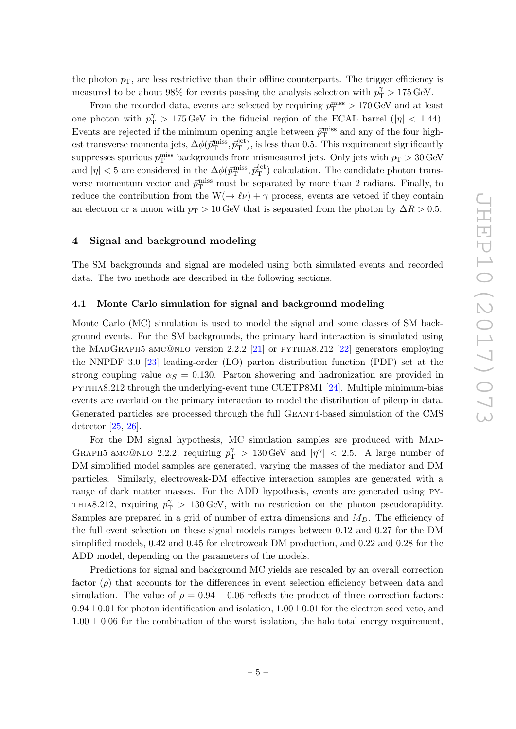the photon  $p<sub>T</sub>$ , are less restrictive than their offline counterparts. The trigger efficiency is measured to be about 98% for events passing the analysis selection with  $p_T^{\gamma} > 175 \,\textrm{GeV}$ .

From the recorded data, events are selected by requiring  $p_T^{\text{miss}} > 170 \,\text{GeV}$  and at least one photon with  $p_T^{\gamma} > 175 \,\text{GeV}$  in the fiducial region of the ECAL barrel ( $|\eta| < 1.44$ ). Events are rejected if the minimum opening angle between  $\vec{p}_{\rm T}^{\rm miss}$  and any of the four highest transverse momenta jets,  $\Delta\phi(p_T^{\text{miss}}, \vec{p}_T^{\text{jet}})$ , is less than 0.5. This requirement significantly suppresses spurious  $p_T^{\text{miss}}$  backgrounds from mismeasured jets. Only jets with  $p_T > 30 \,\text{GeV}$ and  $|\eta| < 5$  are considered in the  $\Delta\phi(\vec{p}_{\rm T}^{\rm miss}, \vec{p}_{\rm T}^{\rm jet})$  calculation. The candidate photon transverse momentum vector and  $\vec{p}_{\text{T}}^{\text{miss}}$  must be separated by more than 2 radians. Finally, to reduce the contribution from the  $W(\rightarrow \ell \nu) + \gamma$  process, events are vetoed if they contain an electron or a muon with  $p_T > 10$  GeV that is separated from the photon by  $\Delta R > 0.5$ .

### <span id="page-5-0"></span>4 Signal and background modeling

The SM backgrounds and signal are modeled using both simulated events and recorded data. The two methods are described in the following sections.

#### <span id="page-5-1"></span>4.1 Monte Carlo simulation for signal and background modeling

Monte Carlo (MC) simulation is used to model the signal and some classes of SM background events. For the SM backgrounds, the primary hard interaction is simulated using the MADGRAPH5 amc@nLO version 2.2.2 [\[21\]](#page-16-13) or PYTHIA8.212 [\[22\]](#page-16-14) generators employing the NNPDF 3.0 [\[23\]](#page-16-15) leading-order (LO) parton distribution function (PDF) set at the strong coupling value  $\alpha_S = 0.130$ . Parton showering and hadronization are provided in pythia8.212 through the underlying-event tune CUETP8M1 [\[24\]](#page-16-16). Multiple minimum-bias events are overlaid on the primary interaction to model the distribution of pileup in data. Generated particles are processed through the full Geant4-based simulation of the CMS detector [\[25,](#page-17-0) [26\]](#page-17-1).

For the DM signal hypothesis, MC simulation samples are produced with MAD-GRAPH5 aMC@NLO 2.2.2, requiring  $p_T^{\gamma} > 130 \,\text{GeV}$  and  $|\eta^{\gamma}| < 2.5$ . A large number of DM simplified model samples are generated, varying the masses of the mediator and DM particles. Similarly, electroweak-DM effective interaction samples are generated with a range of dark matter masses. For the ADD hypothesis, events are generated using py-THIA8.212, requiring  $p_T^{\gamma} > 130 \,\text{GeV}$ , with no restriction on the photon pseudorapidity. Samples are prepared in a grid of number of extra dimensions and  $M_D$ . The efficiency of the full event selection on these signal models ranges between 0.12 and 0.27 for the DM simplified models, 0.42 and 0.45 for electroweak DM production, and 0.22 and 0.28 for the ADD model, depending on the parameters of the models.

Predictions for signal and background MC yields are rescaled by an overall correction factor  $(\rho)$  that accounts for the differences in event selection efficiency between data and simulation. The value of  $\rho = 0.94 \pm 0.06$  reflects the product of three correction factors:  $0.94\pm0.01$  for photon identification and isolation,  $1.00\pm0.01$  for the electron seed veto, and  $1.00 \pm 0.06$  for the combination of the worst isolation, the halo total energy requirement,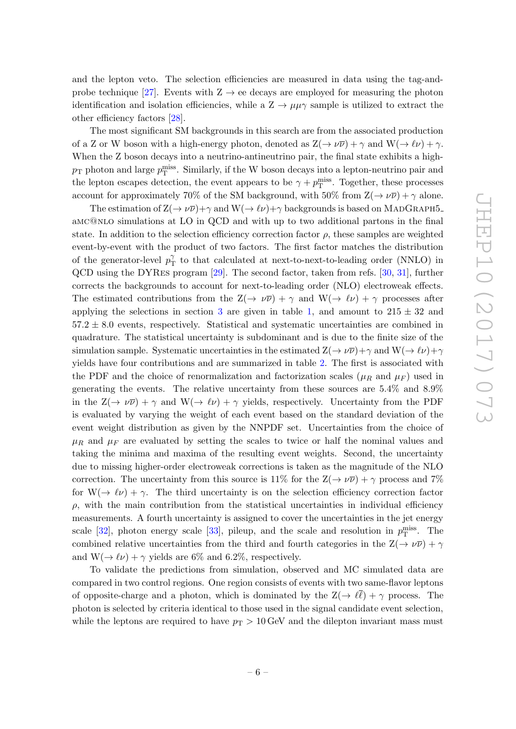and the lepton veto. The selection efficiencies are measured in data using the tag-and-probe technique [\[27\]](#page-17-2). Events with  $Z \rightarrow$  ee decays are employed for measuring the photon identification and isolation efficiencies, while a  $Z \rightarrow \mu \mu \gamma$  sample is utilized to extract the other efficiency factors [\[28\]](#page-17-3).

The most significant SM backgrounds in this search are from the associated production of a Z or W boson with a high-energy photon, denoted as  $Z(\rightarrow \nu\bar{\nu}) + \gamma$  and  $W(\rightarrow \ell\nu) + \gamma$ . When the Z boson decays into a neutrino-antineutrino pair, the final state exhibits a high $p_T$  photon and large  $p_T^{\text{miss}}$ . Similarly, if the W boson decays into a lepton-neutrino pair and the lepton escapes detection, the event appears to be  $\gamma + p_T^{\text{miss}}$ . Together, these processes account for approximately 70% of the SM background, with 50% from  $Z(\rightarrow \nu \bar{\nu}) + \gamma$  alone.

The estimation of  $Z(\to \nu \bar{\nu})+\gamma$  and  $W(\to \ell \nu)+\gamma$  backgrounds is based on MADGRAPH5 amc@nlo simulations at LO in QCD and with up to two additional partons in the final state. In addition to the selection efficiency correction factor  $\rho$ , these samples are weighted event-by-event with the product of two factors. The first factor matches the distribution of the generator-level  $p_{\rm T}^{\gamma}$  $T_{\text{T}}^{\gamma}$  to that calculated at next-to-next-to-leading order (NNLO) in QCD using the DYRes program [\[29\]](#page-17-4). The second factor, taken from refs. [\[30,](#page-17-5) [31\]](#page-17-6), further corrects the backgrounds to account for next-to-leading order (NLO) electroweak effects. The estimated contributions from the  $Z(\rightarrow \nu \bar{\nu}) + \gamma$  and  $W(\rightarrow \ell \nu) + \gamma$  processes after applying the selections in section [3](#page-4-0) are given in table [1,](#page-9-0) and amount to  $215 \pm 32$  and  $57.2 \pm 8.0$  events, respectively. Statistical and systematic uncertainties are combined in quadrature. The statistical uncertainty is subdominant and is due to the finite size of the simulation sample. Systematic uncertainties in the estimated  $Z(\rightarrow \nu\bar{\nu})+\gamma$  and  $W(\rightarrow \ell\nu)+\gamma$ yields have four contributions and are summarized in table [2.](#page-10-1) The first is associated with the PDF and the choice of renormalization and factorization scales ( $\mu_R$  and  $\mu_F$ ) used in generating the events. The relative uncertainty from these sources are 5.4% and 8.9% in the  $Z(\rightarrow \nu\bar{\nu}) + \gamma$  and  $W(\rightarrow \ell\nu) + \gamma$  yields, respectively. Uncertainty from the PDF is evaluated by varying the weight of each event based on the standard deviation of the event weight distribution as given by the NNPDF set. Uncertainties from the choice of  $\mu_R$  and  $\mu_F$  are evaluated by setting the scales to twice or half the nominal values and taking the minima and maxima of the resulting event weights. Second, the uncertainty due to missing higher-order electroweak corrections is taken as the magnitude of the NLO correction. The uncertainty from this source is 11% for the  $Z(\rightarrow \nu\bar{\nu}) + \gamma$  process and 7% for  $W(\rightarrow \ell \nu) + \gamma$ . The third uncertainty is on the selection efficiency correction factor  $\rho$ , with the main contribution from the statistical uncertainties in individual efficiency measurements. A fourth uncertainty is assigned to cover the uncertainties in the jet energy scale [\[32\]](#page-17-7), photon energy scale [\[33\]](#page-17-8), pileup, and the scale and resolution in  $p_T^{\text{miss}}$ . The combined relative uncertainties from the third and fourth categories in the  $\mathbb{Z}(\rightarrow \nu\bar{\nu}) + \gamma$ and  $W(\rightarrow \ell \nu) + \gamma$  yields are 6% and 6.2%, respectively.

To validate the predictions from simulation, observed and MC simulated data are compared in two control regions. One region consists of events with two same-flavor leptons of opposite-charge and a photon, which is dominated by the  $Z(\rightarrow \ell \bar{\ell}) + \gamma$  process. The photon is selected by criteria identical to those used in the signal candidate event selection, while the leptons are required to have  $p_T > 10$  GeV and the dilepton invariant mass must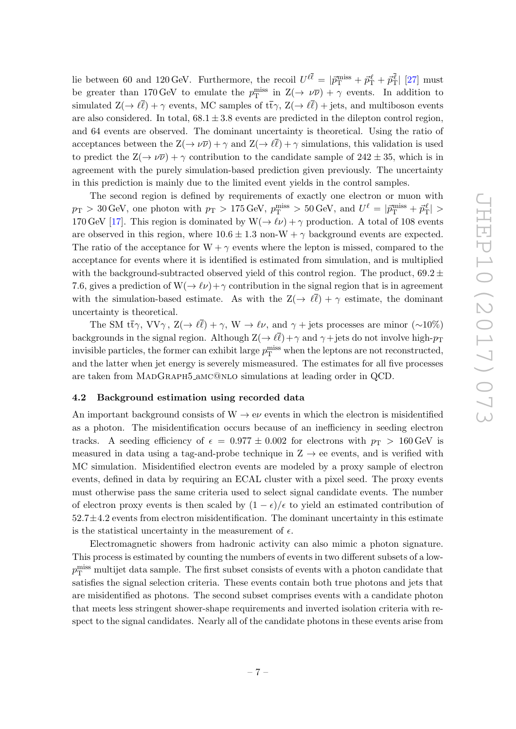lie between 60 and 120 GeV. Furthermore, the recoil  $U^{\ell\ell} = |\vec{p}_{\rm T}^{\rm miss} + \vec{p}_{\rm T}^{\ell} + \vec{p}_{\rm T}^{\ell}|$  [\[27\]](#page-17-2) must be greater than 170 GeV to emulate the  $p_T^{\text{miss}}$  in  $Z(\rightarrow \nu\bar{\nu}) + \gamma$  events. In addition to simulated  $Z(\rightarrow \ell \bar{\ell}) + \gamma$  events, MC samples of  $t\bar{t}\gamma$ ,  $Z(\rightarrow \ell \bar{\ell}) + \text{jets}$ , and multiboson events are also considered. In total,  $68.1 \pm 3.8$  events are predicted in the dilepton control region, and 64 events are observed. The dominant uncertainty is theoretical. Using the ratio of acceptances between the  $Z(\rightarrow \nu \bar{\nu}) + \gamma$  and  $Z(\rightarrow \ell \bar{\ell}) + \gamma$  simulations, this validation is used to predict the  $Z(\rightarrow \nu \bar{\nu}) + \gamma$  contribution to the candidate sample of  $242 \pm 35$ , which is in agreement with the purely simulation-based prediction given previously. The uncertainty in this prediction is mainly due to the limited event yields in the control samples.

The second region is defined by requirements of exactly one electron or muon with  $p_T > 30$  GeV, one photon with  $p_T > 175$  GeV,  $p_T^{\text{miss}} > 50$  GeV, and  $U^{\ell} = |\vec{p}_T^{\text{miss}} + \vec{p}_T^{\ell}| >$ 170 GeV [\[17\]](#page-16-9). This region is dominated by  $W(\rightarrow \ell \nu) + \gamma$  production. A total of 108 events are observed in this region, where  $10.6 \pm 1.3$  non-W +  $\gamma$  background events are expected. The ratio of the acceptance for  $W + \gamma$  events where the lepton is missed, compared to the acceptance for events where it is identified is estimated from simulation, and is multiplied with the background-subtracted observed yield of this control region. The product,  $69.2 \pm$ 7.6, gives a prediction of  $W(\rightarrow \ell \nu)+\gamma$  contribution in the signal region that is in agreement with the simulation-based estimate. As with the  $\mathbb{Z}(\rightarrow \ell \overline{\ell}) + \gamma$  estimate, the dominant uncertainty is theoretical.

The SM tt̄ $\gamma$ , VV $\gamma$ , Z( $\rightarrow \ell \bar{\ell}$ ) +  $\gamma$ , W  $\rightarrow \ell \nu$ , and  $\gamma$  + jets processes are minor (∼10%) backgrounds in the signal region. Although  $Z(\rightarrow \ell \bar{\ell})+\gamma$  and  $\gamma$  + jets do not involve high- $p_T$ invisible particles, the former can exhibit large  $p_T^{\text{miss}}$  when the leptons are not reconstructed, and the latter when jet energy is severely mismeasured. The estimates for all five processes are taken from MadGraph5 amc@nlo simulations at leading order in QCD.

#### <span id="page-7-0"></span>4.2 Background estimation using recorded data

An important background consists of  $W \to e\nu$  events in which the electron is misidentified as a photon. The misidentification occurs because of an inefficiency in seeding electron tracks. A seeding efficiency of  $\epsilon = 0.977 \pm 0.002$  for electrons with  $p_T > 160 \text{ GeV}$  is measured in data using a tag-and-probe technique in  $Z \rightarrow ee$  events, and is verified with MC simulation. Misidentified electron events are modeled by a proxy sample of electron events, defined in data by requiring an ECAL cluster with a pixel seed. The proxy events must otherwise pass the same criteria used to select signal candidate events. The number of electron proxy events is then scaled by  $(1 - \epsilon)/\epsilon$  to yield an estimated contribution of  $52.7 \pm 4.2$  events from electron misidentification. The dominant uncertainty in this estimate is the statistical uncertainty in the measurement of  $\epsilon$ .

Electromagnetic showers from hadronic activity can also mimic a photon signature. This process is estimated by counting the numbers of events in two different subsets of a low $p_{\rm T}^{\rm miss}$  multijet data sample. The first subset consists of events with a photon candidate that satisfies the signal selection criteria. These events contain both true photons and jets that are misidentified as photons. The second subset comprises events with a candidate photon that meets less stringent shower-shape requirements and inverted isolation criteria with respect to the signal candidates. Nearly all of the candidate photons in these events arise from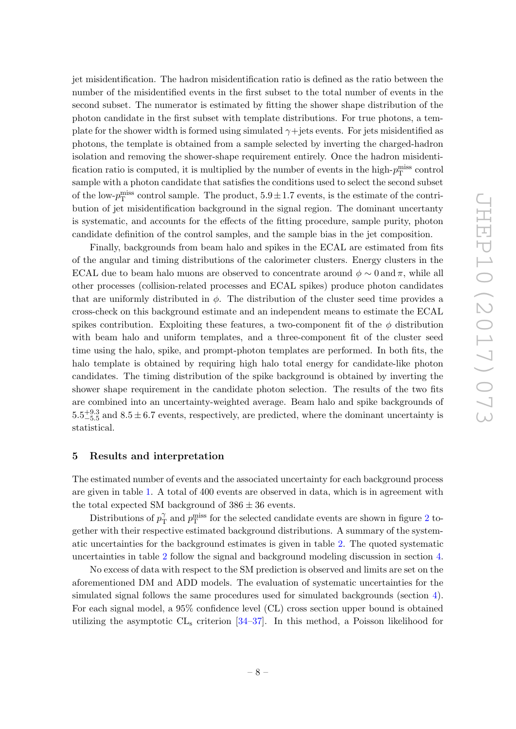jet misidentification. The hadron misidentification ratio is defined as the ratio between the number of the misidentified events in the first subset to the total number of events in the second subset. The numerator is estimated by fitting the shower shape distribution of the photon candidate in the first subset with template distributions. For true photons, a template for the shower width is formed using simulated  $\gamma$ +jets events. For jets misidentified as photons, the template is obtained from a sample selected by inverting the charged-hadron isolation and removing the shower-shape requirement entirely. Once the hadron misidentification ratio is computed, it is multiplied by the number of events in the high- $p_T^{\text{miss}}$  control sample with a photon candidate that satisfies the conditions used to select the second subset of the low- $p_T^{\text{miss}}$  control sample. The product,  $5.9 \pm 1.7$  events, is the estimate of the contribution of jet misidentification background in the signal region. The dominant uncertanty is systematic, and accounts for the effects of the fitting procedure, sample purity, photon candidate definition of the control samples, and the sample bias in the jet composition.

Finally, backgrounds from beam halo and spikes in the ECAL are estimated from fits of the angular and timing distributions of the calorimeter clusters. Energy clusters in the ECAL due to beam halo muons are observed to concentrate around  $\phi \sim 0$  and  $\pi$ , while all other processes (collision-related processes and ECAL spikes) produce photon candidates that are uniformly distributed in  $\phi$ . The distribution of the cluster seed time provides a cross-check on this background estimate and an independent means to estimate the ECAL spikes contribution. Exploiting these features, a two-component fit of the  $\phi$  distribution with beam halo and uniform templates, and a three-component fit of the cluster seed time using the halo, spike, and prompt-photon templates are performed. In both fits, the halo template is obtained by requiring high halo total energy for candidate-like photon candidates. The timing distribution of the spike background is obtained by inverting the shower shape requirement in the candidate photon selection. The results of the two fits are combined into an uncertainty-weighted average. Beam halo and spike backgrounds of  $5.5^{+9.3}_{-5.5}$  and  $8.5 \pm 6.7$  events, respectively, are predicted, where the dominant uncertainty is statistical.

#### <span id="page-8-0"></span>5 Results and interpretation

The estimated number of events and the associated uncertainty for each background process are given in table [1.](#page-9-0) A total of 400 events are observed in data, which is in agreement with the total expected SM background of  $386 \pm 36$  events.

Distributions of  $p_{\rm T}^{\gamma}$  $T_T^{\gamma}$  and  $p_T^{\text{miss}}$  for the selected candidate events are shown in figure [2](#page-9-1) together with their respective estimated background distributions. A summary of the systematic uncertainties for the background estimates is given in table [2.](#page-10-1) The quoted systematic uncertainties in table [2](#page-10-1) follow the signal and background modeling discussion in section [4.](#page-5-0)

No excess of data with respect to the SM prediction is observed and limits are set on the aforementioned DM and ADD models. The evaluation of systematic uncertainties for the simulated signal follows the same procedures used for simulated backgrounds (section [4\)](#page-5-0). For each signal model, a 95% confidence level (CL) cross section upper bound is obtained utilizing the asymptotic  $CL<sub>s</sub>$  criterion [\[34](#page-17-9)[–37\]](#page-17-10). In this method, a Poisson likelihood for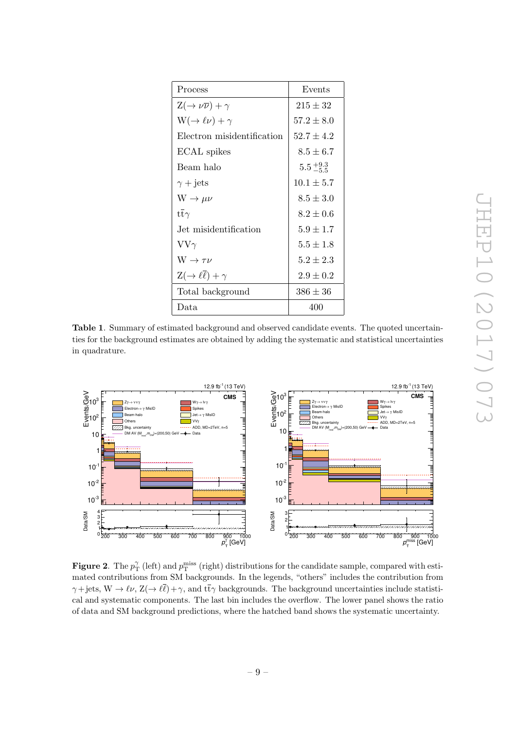| Process                                        | Events                           |
|------------------------------------------------|----------------------------------|
| $Z(\rightarrow \nu \overline{\nu}) + \gamma$   | $215 \pm 32$                     |
| $W(\rightarrow \ell \nu) + \gamma$             | $57.2 \pm 8.0$                   |
| Electron misidentification                     | $52.7 \pm 4.2$                   |
| <b>ECAL</b> spikes                             | $8.5 \pm 6.7$                    |
| Beam halo                                      | $5.5_{\frac{+9.3}{-5.5}}^{+9.3}$ |
| $\gamma$ + jets                                | $10.1 \pm 5.7$                   |
| $W \rightarrow \mu \nu$                        | $8.5 \pm 3.0$                    |
| $t\overline{t}\gamma$                          | $8.2 \pm 0.6$                    |
| Jet misidentification                          | $5.9 \pm 1.7$                    |
| $\rm VV\gamma$                                 | $5.5 \pm 1.8$                    |
| $W \rightarrow \tau \nu$                       | $5.2 \pm 2.3$                    |
| $Z(\rightarrow \ell \overline{\ell}) + \gamma$ | $2.9 \pm 0.2$                    |
| Total background                               | $386\pm36$                       |
| Data                                           | 400                              |

<span id="page-9-0"></span>Table 1. Summary of estimated background and observed candidate events. The quoted uncertainties for the background estimates are obtained by adding the systematic and statistical uncertainties in quadrature.



<span id="page-9-1"></span>Figure 2. The  $p_T^{\gamma}$  (left) and  $p_T^{\text{miss}}$  (right) distributions for the candidate sample, compared with estimated contributions from SM backgrounds. In the legends, "others" includes the contribution from  $\gamma$ +jets, W  $\rightarrow \ell \nu$ , Z( $\rightarrow \ell \bar{\ell}$ )+ $\gamma$ , and tt $\gamma$  backgrounds. The background uncertainties include statistical and systematic components. The last bin includes the overflow. The lower panel shows the ratio of data and SM background predictions, where the hatched band shows the systematic uncertainty.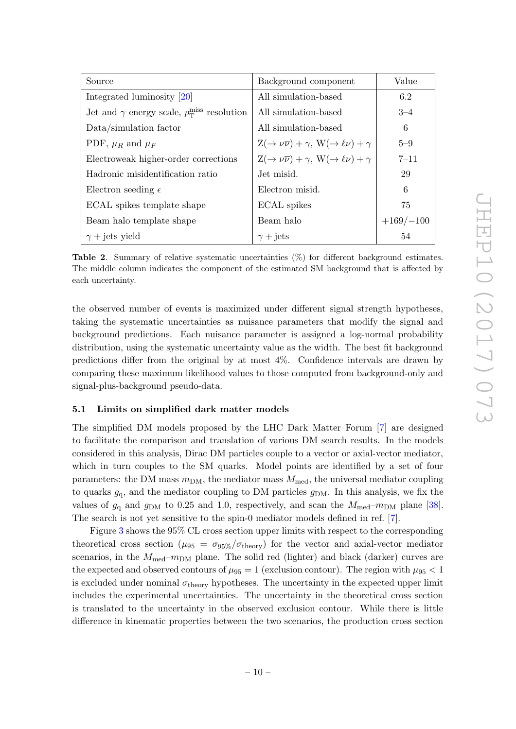| Source                                                        | Background component                                                              | Value        |
|---------------------------------------------------------------|-----------------------------------------------------------------------------------|--------------|
| Integrated luminosity [20]                                    | All simulation-based                                                              | 6.2          |
| Jet and $\gamma$ energy scale, $p_T^{\text{miss}}$ resolution | All simulation-based                                                              | $3 - 4$      |
| Data/simulation factor                                        | All simulation-based                                                              | 6            |
| PDF, $\mu_R$ and $\mu_F$                                      | $Z(\rightarrow \nu \overline{\nu}) + \gamma$ , $W(\rightarrow \ell \nu) + \gamma$ | $5 - 9$      |
| Electroweak higher-order corrections                          | $Z(\rightarrow \nu \overline{\nu}) + \gamma$ , $W(\rightarrow \ell \nu) + \gamma$ | $7 - 11$     |
| Hadronic misidentification ratio                              | Jet misid.                                                                        | 29           |
| Electron seeding $\epsilon$                                   | Electron misid.                                                                   | 6            |
| ECAL spikes template shape                                    | ECAL spikes                                                                       | 75           |
| Beam halo template shape                                      | Beam halo                                                                         | $+169/ -100$ |
| $\gamma$ + jets yield                                         | $\gamma$ + jets                                                                   | 54           |

<span id="page-10-1"></span>Table 2. Summary of relative systematic uncertainties (%) for different background estimates. The middle column indicates the component of the estimated SM background that is affected by each uncertainty.

the observed number of events is maximized under different signal strength hypotheses, taking the systematic uncertainties as nuisance parameters that modify the signal and background predictions. Each nuisance parameter is assigned a log-normal probability distribution, using the systematic uncertainty value as the width. The best fit background predictions differ from the original by at most 4%. Confidence intervals are drawn by comparing these maximum likelihood values to those computed from background-only and signal-plus-background pseudo-data.

#### <span id="page-10-0"></span>5.1 Limits on simplified dark matter models

The simplified DM models proposed by the LHC Dark Matter Forum [\[7\]](#page-15-6) are designed to facilitate the comparison and translation of various DM search results. In the models considered in this analysis, Dirac DM particles couple to a vector or axial-vector mediator, which in turn couples to the SM quarks. Model points are identified by a set of four parameters: the DM mass  $m_{\text{DM}}$ , the mediator mass  $M_{\text{med}}$ , the universal mediator coupling to quarks  $g_{\rm q}$ , and the mediator coupling to DM particles  $g_{\rm DM}$ . In this analysis, we fix the values of  $g_q$  and  $g_{DM}$  to 0.25 and 1.0, respectively, and scan the  $M_{med}-m_{DM}$  plane [\[38\]](#page-17-11). The search is not yet sensitive to the spin-0 mediator models defined in ref. [\[7\]](#page-15-6).

Figure [3](#page-11-2) shows the 95% CL cross section upper limits with respect to the corresponding theoretical cross section ( $\mu_{95} = \sigma_{95\%}/\sigma_{\text{theory}}$ ) for the vector and axial-vector mediator scenarios, in the  $M_{\text{med}}-m_{\text{DM}}$  plane. The solid red (lighter) and black (darker) curves are the expected and observed contours of  $\mu_{95} = 1$  (exclusion contour). The region with  $\mu_{95} < 1$ is excluded under nominal  $\sigma_{\text{theory}}$  hypotheses. The uncertainty in the expected upper limit includes the experimental uncertainties. The uncertainty in the theoretical cross section is translated to the uncertainty in the observed exclusion contour. While there is little difference in kinematic properties between the two scenarios, the production cross section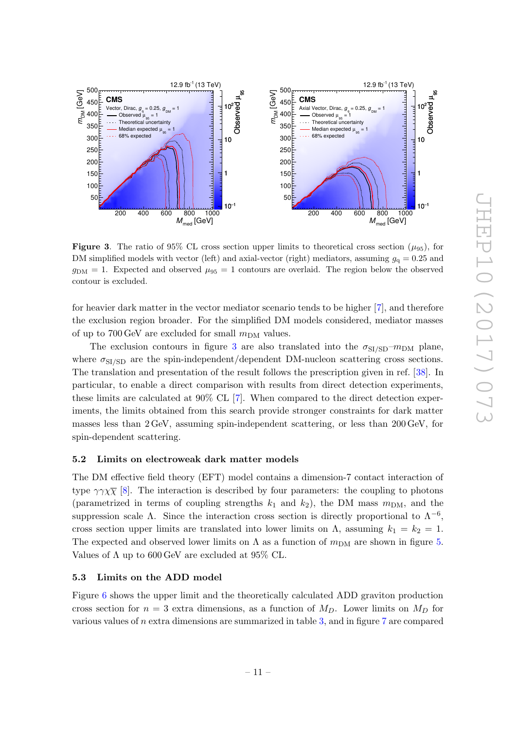

<span id="page-11-2"></span>**Figure 3.** The ratio of 95% CL cross section upper limits to theoretical cross section  $(\mu_{95})$ , for DM simplified models with vector (left) and axial-vector (right) mediators, assuming  $g<sub>q</sub> = 0.25$  and  $g_{\text{DM}} = 1$ . Expected and observed  $\mu_{95} = 1$  contours are overlaid. The region below the observed contour is excluded.

for heavier dark matter in the vector mediator scenario tends to be higher [\[7\]](#page-15-6), and therefore the exclusion region broader. For the simplified DM models considered, mediator masses of up to 700 GeV are excluded for small  $m_{DM}$  values.

The exclusion contours in figure [3](#page-11-2) are also translated into the  $\sigma_{\text{SI/SD}}-m_{\text{DM}}$  plane, where  $\sigma_{\text{SI/SD}}$  are the spin-independent/dependent DM-nucleon scattering cross sections. The translation and presentation of the result follows the prescription given in ref. [\[38\]](#page-17-11). In particular, to enable a direct comparison with results from direct detection experiments, these limits are calculated at 90% CL [\[7\]](#page-15-6). When compared to the direct detection experiments, the limits obtained from this search provide stronger constraints for dark matter masses less than 2 GeV, assuming spin-independent scattering, or less than 200 GeV, for spin-dependent scattering.

#### <span id="page-11-0"></span>5.2 Limits on electroweak dark matter models

The DM effective field theory (EFT) model contains a dimension-7 contact interaction of type  $\gamma \gamma \chi \bar{\chi}$  [\[8\]](#page-16-0). The interaction is described by four parameters: the coupling to photons (parametrized in terms of coupling strengths  $k_1$  and  $k_2$ ), the DM mass  $m_{\text{DM}}$ , and the suppression scale  $\Lambda$ . Since the interaction cross section is directly proportional to  $\Lambda^{-6}$ , cross section upper limits are translated into lower limits on  $\Lambda$ , assuming  $k_1 = k_2 = 1$ . The expected and observed lower limits on  $\Lambda$  as a function of  $m_{\text{DM}}$  are shown in figure [5.](#page-12-0) Values of  $\Lambda$  up to 600 GeV are excluded at 95% CL.

#### <span id="page-11-1"></span>5.3 Limits on the ADD model

Figure [6](#page-13-0) shows the upper limit and the theoretically calculated ADD graviton production cross section for  $n = 3$  extra dimensions, as a function of  $M_D$ . Lower limits on  $M_D$  for various values of  $n$  extra dimensions are summarized in table [3,](#page-14-1) and in figure [7](#page-13-1) are compared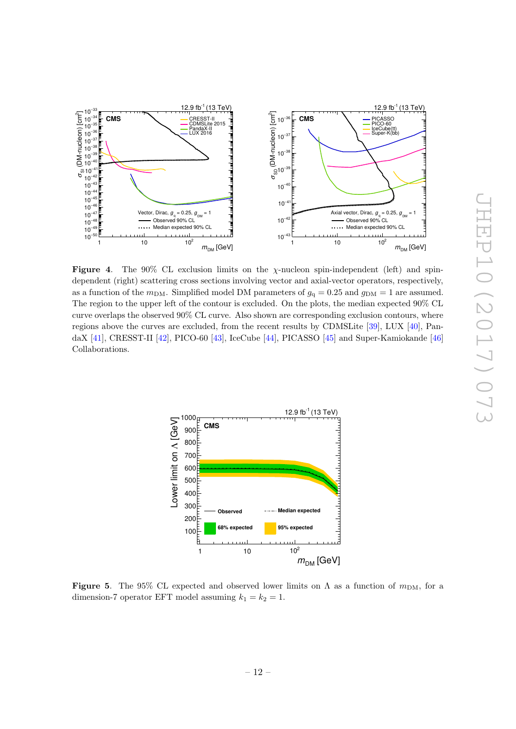

Figure 4. The 90% CL exclusion limits on the  $\chi$ -nucleon spin-independent (left) and spindependent (right) scattering cross sections involving vector and axial-vector operators, respectively, as a function of the  $m_{\text{DM}}$ . Simplified model DM parameters of  $g_q = 0.25$  and  $g_{\text{DM}} = 1$  are assumed. The region to the upper left of the contour is excluded. On the plots, the median expected 90% CL curve overlaps the observed 90% CL curve. Also shown are corresponding exclusion contours, where regions above the curves are excluded, from the recent results by CDMSLite [\[39\]](#page-17-12), LUX [\[40\]](#page-17-13), PandaX [\[41\]](#page-17-14), CRESST-II [\[42\]](#page-18-0), PICO-60 [\[43\]](#page-18-1), IceCube [\[44\]](#page-18-2), PICASSO [\[45\]](#page-18-3) and Super-Kamiokande [\[46\]](#page-18-4) Collaborations.



<span id="page-12-0"></span>Figure 5. The 95% CL expected and observed lower limits on  $\Lambda$  as a function of  $m_{\text{DM}}$ , for a dimension-7 operator EFT model assuming  $k_1 = k_2 = 1$ .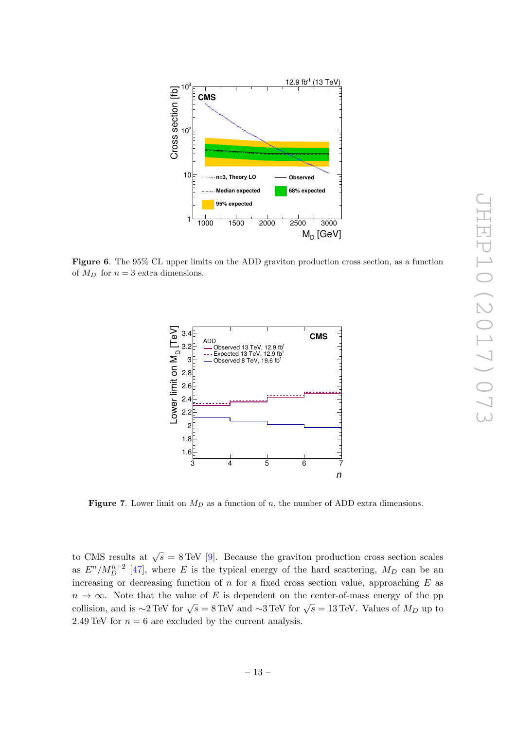

<span id="page-13-0"></span>Figure 6. The 95% CL upper limits on the ADD graviton production cross section, as a function of  $M_D$  for  $n = 3$  extra dimensions.



<span id="page-13-1"></span>**Figure 7.** Lower limit on  $M_D$  as a function of n, the number of ADD extra dimensions.

to CMS results at  $\sqrt{s} = 8 \text{ TeV}$  [\[9\]](#page-16-1). Because the graviton production cross section scales as  $E^{n}/M_{D}^{n+2}$  [\[47\]](#page-18-5), where E is the typical energy of the hard scattering,  $M_{D}$  can be an increasing or decreasing function of  $n$  for a fixed cross section value, approaching  $E$  as  $n \to \infty$ . Note that the value of E is dependent on the center-of-mass energy of the pp collision, and is ∼2 TeV for  $\sqrt{s} = 8$  TeV and ∼3 TeV for  $\sqrt{s} = 13$  TeV. Values of  $M_D$  up to 2.49 TeV for  $n = 6$  are excluded by the current analysis.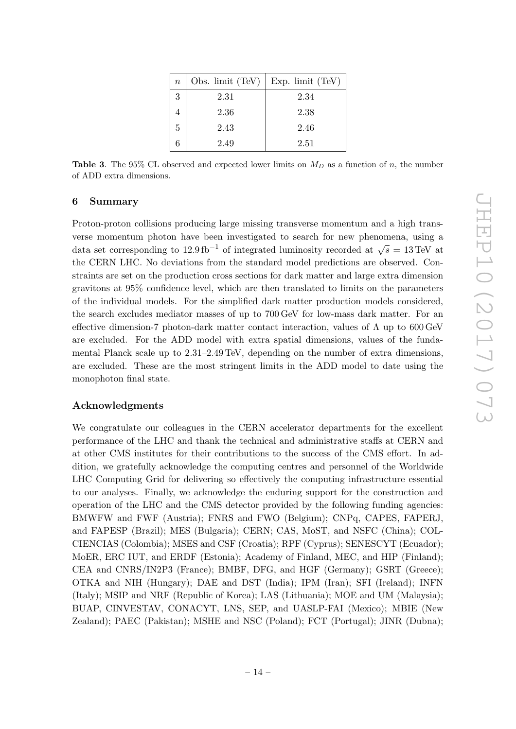| $\boldsymbol{n}$ | Obs. $\text{limit (TeV)}$ | Exp. limit $(TeV)$ |
|------------------|---------------------------|--------------------|
| 3                | 2.31                      | 2.34               |
| 4                | 2.36                      | 2.38               |
| 5                | 2.43                      | 2.46               |
| 6                | 2.49                      | 2.51               |

<span id="page-14-1"></span>**Table 3.** The 95% CL observed and expected lower limits on  $M_D$  as a function of n, the number of ADD extra dimensions.

#### <span id="page-14-0"></span>6 Summary

Proton-proton collisions producing large missing transverse momentum and a high transverse momentum photon have been investigated to search for new phenomena, using a data set corresponding to  $12.9 \text{ fb}^{-1}$  of integrated luminosity recorded at  $\sqrt{s} = 13 \text{ TeV}$  at the CERN LHC. No deviations from the standard model predictions are observed. Constraints are set on the production cross sections for dark matter and large extra dimension gravitons at 95% confidence level, which are then translated to limits on the parameters of the individual models. For the simplified dark matter production models considered, the search excludes mediator masses of up to 700 GeV for low-mass dark matter. For an effective dimension-7 photon-dark matter contact interaction, values of  $\Lambda$  up to 600 GeV are excluded. For the ADD model with extra spatial dimensions, values of the fundamental Planck scale up to 2.31–2.49 TeV, depending on the number of extra dimensions, are excluded. These are the most stringent limits in the ADD model to date using the monophoton final state.

### Acknowledgments

We congratulate our colleagues in the CERN accelerator departments for the excellent performance of the LHC and thank the technical and administrative staffs at CERN and at other CMS institutes for their contributions to the success of the CMS effort. In addition, we gratefully acknowledge the computing centres and personnel of the Worldwide LHC Computing Grid for delivering so effectively the computing infrastructure essential to our analyses. Finally, we acknowledge the enduring support for the construction and operation of the LHC and the CMS detector provided by the following funding agencies: BMWFW and FWF (Austria); FNRS and FWO (Belgium); CNPq, CAPES, FAPERJ, and FAPESP (Brazil); MES (Bulgaria); CERN; CAS, MoST, and NSFC (China); COL-CIENCIAS (Colombia); MSES and CSF (Croatia); RPF (Cyprus); SENESCYT (Ecuador); MoER, ERC IUT, and ERDF (Estonia); Academy of Finland, MEC, and HIP (Finland); CEA and CNRS/IN2P3 (France); BMBF, DFG, and HGF (Germany); GSRT (Greece); OTKA and NIH (Hungary); DAE and DST (India); IPM (Iran); SFI (Ireland); INFN (Italy); MSIP and NRF (Republic of Korea); LAS (Lithuania); MOE and UM (Malaysia); BUAP, CINVESTAV, CONACYT, LNS, SEP, and UASLP-FAI (Mexico); MBIE (New Zealand); PAEC (Pakistan); MSHE and NSC (Poland); FCT (Portugal); JINR (Dubna);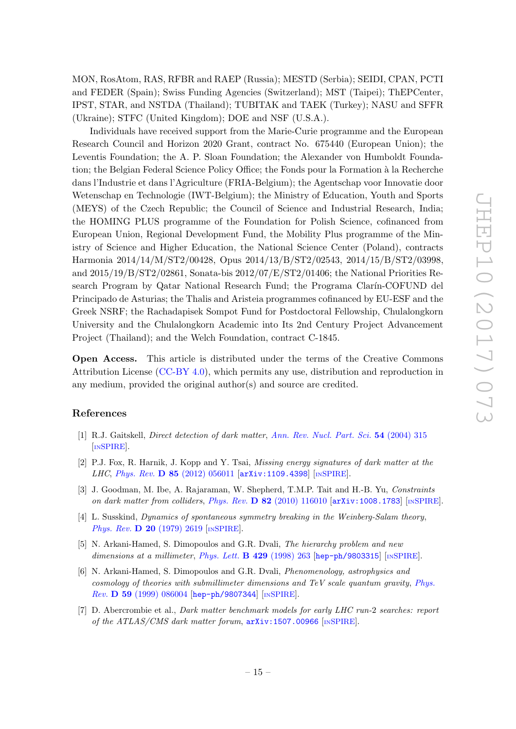MON, RosAtom, RAS, RFBR and RAEP (Russia); MESTD (Serbia); SEIDI, CPAN, PCTI and FEDER (Spain); Swiss Funding Agencies (Switzerland); MST (Taipei); ThEPCenter, IPST, STAR, and NSTDA (Thailand); TUBITAK and TAEK (Turkey); NASU and SFFR (Ukraine); STFC (United Kingdom); DOE and NSF (U.S.A.).

Individuals have received support from the Marie-Curie programme and the European Research Council and Horizon 2020 Grant, contract No. 675440 (European Union); the Leventis Foundation; the A. P. Sloan Foundation; the Alexander von Humboldt Foundation; the Belgian Federal Science Policy Office; the Fonds pour la Formation à la Recherche dans l'Industrie et dans l'Agriculture (FRIA-Belgium); the Agentschap voor Innovatie door Wetenschap en Technologie (IWT-Belgium); the Ministry of Education, Youth and Sports (MEYS) of the Czech Republic; the Council of Science and Industrial Research, India; the HOMING PLUS programme of the Foundation for Polish Science, cofinanced from European Union, Regional Development Fund, the Mobility Plus programme of the Ministry of Science and Higher Education, the National Science Center (Poland), contracts Harmonia 2014/14/M/ST2/00428, Opus 2014/13/B/ST2/02543, 2014/15/B/ST2/03998, and 2015/19/B/ST2/02861, Sonata-bis 2012/07/E/ST2/01406; the National Priorities Research Program by Qatar National Research Fund; the Programa Clarín-COFUND del Principado de Asturias; the Thalis and Aristeia programmes cofinanced by EU-ESF and the Greek NSRF; the Rachadapisek Sompot Fund for Postdoctoral Fellowship, Chulalongkorn University and the Chulalongkorn Academic into Its 2nd Century Project Advancement Project (Thailand); and the Welch Foundation, contract C-1845.

Open Access. This article is distributed under the terms of the Creative Commons Attribution License [\(CC-BY 4.0\)](https://creativecommons.org/licenses/by/4.0/), which permits any use, distribution and reproduction in any medium, provided the original author(s) and source are credited.

## References

- <span id="page-15-0"></span>[1] R.J. Gaitskell, Direct detection of dark matter, [Ann. Rev. Nucl. Part. Sci.](https://doi.org/10.1146/annurev.nucl.54.070103.181244) 54 (2004) 315 [IN[SPIRE](https://inspirehep.net/search?p=find+J+%22Ann.Rev.Nucl.Part.Sci.,54,315%22)].
- <span id="page-15-1"></span>[2] P.J. Fox, R. Harnik, J. Kopp and Y. Tsai, Missing energy signatures of dark matter at the LHC, Phys. Rev. D 85 [\(2012\) 056011](https://doi.org/10.1103/PhysRevD.85.056011) [[arXiv:1109.4398](https://arxiv.org/abs/1109.4398)] [IN[SPIRE](https://inspirehep.net/search?p=find+EPRINT+arXiv:1109.4398)].
- <span id="page-15-2"></span>[3] J. Goodman, M. Ibe, A. Rajaraman, W. Shepherd, T.M.P. Tait and H.-B. Yu, Constraints on dark matter from colliders, Phys. Rev.  $\bf{D} 82$  [\(2010\) 116010](https://doi.org/10.1103/PhysRevD.82.116010) [[arXiv:1008.1783](https://arxiv.org/abs/1008.1783)] [IN[SPIRE](https://inspirehep.net/search?p=find+EPRINT+arXiv:1008.1783)].
- <span id="page-15-3"></span>[4] L. Susskind, Dynamics of spontaneous symmetry breaking in the Weinberg-Salam theory, Phys. Rev. **D 20** [\(1979\) 2619](https://doi.org/10.1103/PhysRevD.20.2619) [IN[SPIRE](https://inspirehep.net/search?p=find+J+%22Phys.Rev.,D20,2619%22)].
- <span id="page-15-4"></span>[5] N. Arkani-Hamed, S. Dimopoulos and G.R. Dvali, The hierarchy problem and new dimensions at a millimeter, [Phys. Lett.](https://doi.org/10.1016/S0370-2693(98)00466-3)  $\bf{B}$  429 (1998) 263 [[hep-ph/9803315](https://arxiv.org/abs/hep-ph/9803315)] [IN[SPIRE](https://inspirehep.net/search?p=find+EPRINT+hep-ph/9803315)].
- <span id="page-15-5"></span>[6] N. Arkani-Hamed, S. Dimopoulos and G.R. Dvali, Phenomenology, astrophysics and cosmology of theories with submillimeter dimensions and TeV scale quantum gravity, [Phys.](https://doi.org/10.1103/PhysRevD.59.086004) Rev. D 59 [\(1999\) 086004](https://doi.org/10.1103/PhysRevD.59.086004) [[hep-ph/9807344](https://arxiv.org/abs/hep-ph/9807344)] [IN[SPIRE](https://inspirehep.net/search?p=find+J+%22Phys.Rev.,D59,086004%22)].
- <span id="page-15-6"></span>[7] D. Abercrombie et al., *Dark matter benchmark models for early LHC run-2 searches: report* of the ATLAS/CMS dark matter forum, [arXiv:1507.00966](https://arxiv.org/abs/1507.00966) [IN[SPIRE](https://inspirehep.net/search?p=find+EPRINT+arXiv:1507.00966)].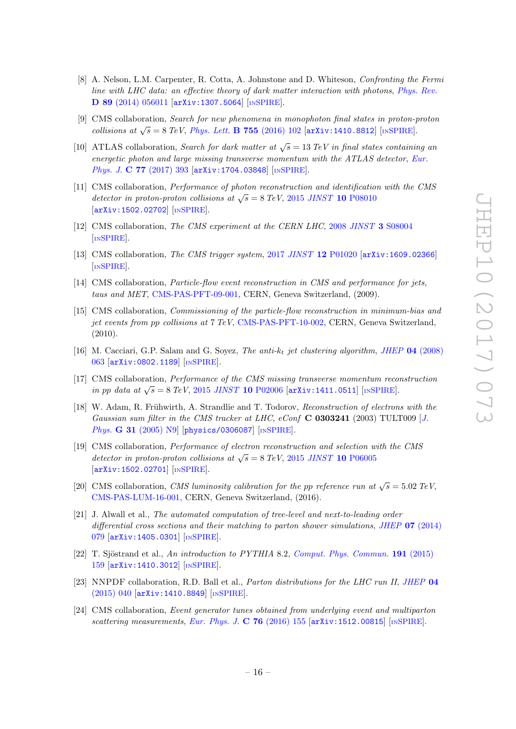- <span id="page-16-0"></span>[8] A. Nelson, L.M. Carpenter, R. Cotta, A. Johnstone and D. Whiteson, Confronting the Fermi line with LHC data: an effective theory of dark matter interaction with photons, [Phys. Rev.](https://doi.org/10.1103/PhysRevD.89.056011) D 89 [\(2014\) 056011](https://doi.org/10.1103/PhysRevD.89.056011) [[arXiv:1307.5064](https://arxiv.org/abs/1307.5064)] [IN[SPIRE](https://inspirehep.net/search?p=find+EPRINT+arXiv:1307.5064)].
- <span id="page-16-1"></span>[9] CMS collaboration, Search for new phenomena in monophoton final states in proton-proton collisions at  $\sqrt{s} = 8$  TeV, [Phys. Lett.](https://doi.org/10.1016/j.physletb.2016.01.057) **B** 755 (2016) 102 [[arXiv:1410.8812](https://arxiv.org/abs/1410.8812)] [IN[SPIRE](https://inspirehep.net/search?p=find+EPRINT+arXiv:1410.8812)].
- <span id="page-16-2"></span>[10] ATLAS collaboration, Search for dark matter at  $\sqrt{s} = 13 \text{ TeV}$  in final states containing an energetic photon and large missing transverse momentum with the ATLAS detector, [Eur.](https://doi.org/10.1140/epjc/s10052-017-4965-8) Phys. J. C 77 [\(2017\) 393](https://doi.org/10.1140/epjc/s10052-017-4965-8) [[arXiv:1704.03848](https://arxiv.org/abs/1704.03848)] [IN[SPIRE](https://inspirehep.net/search?p=find+EPRINT+arXiv:1704.03848)].
- <span id="page-16-3"></span>[11] CMS collaboration, Performance of photon reconstruction and identification with the CMS detector in proton-proton collisions at  $\sqrt{s} = 8$  TeV, 2015 JINST 10 [P08010](https://doi.org/10.1088/1748-0221/10/08/P08010) [[arXiv:1502.02702](https://arxiv.org/abs/1502.02702)] [IN[SPIRE](https://inspirehep.net/search?p=find+EPRINT+arXiv:1502.02702)].
- <span id="page-16-4"></span>[12] CMS collaboration, The CMS experiment at the CERN LHC, 2008 JINST 3 [S08004](https://doi.org/10.1088/1748-0221/3/08/S08004) [IN[SPIRE](https://inspirehep.net/search?p=find+J+%22JINST,3,S08004%22)].
- <span id="page-16-5"></span>[13] CMS collaboration, *The CMS trigger system*, 2017 JINST 12 [P01020](https://doi.org/10.1088/1748-0221/12/01/P01020) [[arXiv:1609.02366](https://arxiv.org/abs/1609.02366)] [IN[SPIRE](https://inspirehep.net/search?p=find+EPRINT+arXiv:1609.02366)].
- <span id="page-16-6"></span>[14] CMS collaboration, *Particle-flow event reconstruction in CMS and performance for jets*, taus and MET, [CMS-PAS-PFT-09-001,](http://cds.cern.ch/record/1194487) CERN, Geneva Switzerland, (2009).
- <span id="page-16-7"></span>[15] CMS collaboration, Commissioning of the particle-flow reconstruction in minimum-bias and jet events from pp collisions at 7 TeV, [CMS-PAS-PFT-10-002,](http://cds.cern.ch/record/1279341) CERN, Geneva Switzerland, (2010).
- <span id="page-16-8"></span>[16] M. Cacciari, G.P. Salam and G. Soyez, The anti- $k_t$  jet clustering algorithm, JHEP 04 [\(2008\)](https://doi.org/10.1088/1126-6708/2008/04/063) [063](https://doi.org/10.1088/1126-6708/2008/04/063) [[arXiv:0802.1189](https://arxiv.org/abs/0802.1189)] [IN[SPIRE](https://inspirehep.net/search?p=find+EPRINT+arXiv:0802.1189)].
- <span id="page-16-9"></span>[17] CMS collaboration, Performance of the CMS missing transverse momentum reconstruction  $\frac{1}{2}$  in pp data at  $\sqrt{s} = 8 \text{ TeV}$ , 2015 JINST 10 [P02006](https://doi.org/10.1088/1748-0221/10/02/P02006) [[arXiv:1411.0511](https://arxiv.org/abs/1411.0511)] [IN[SPIRE](https://inspirehep.net/search?p=find+EPRINT+arXiv:1411.0511)].
- <span id="page-16-10"></span>[18] W. Adam, R. Frühwirth, A. Strandlie and T. Todorov, Reconstruction of electrons with the Gaussian sum filter in the CMS tracker at LHC,  $eConf \textbf{C}$  0303241 (2003) TULT009 [[J.](https://doi.org/10.1088/0954-3899/31/9/N01) Phys. **G 31** (2005) N9 [[physics/0306087](https://arxiv.org/abs/physics/0306087)] [IN[SPIRE](https://inspirehep.net/search?p=find+J+%22J.Phys.,G31,N9%22)].
- <span id="page-16-11"></span>[19] CMS collaboration, Performance of electron reconstruction and selection with the CMS detector in proton-proton collisions at  $\sqrt{s} = 8$  TeV, 2015 JINST 10 [P06005](https://doi.org/10.1088/1748-0221/10/06/P06005) [[arXiv:1502.02701](https://arxiv.org/abs/1502.02701)] [IN[SPIRE](https://inspirehep.net/search?p=find+EPRINT+arXiv:1502.02701)].
- <span id="page-16-12"></span>[20] CMS collaboration, *CMS* luminosity calibration for the pp reference run at  $\sqrt{s} = 5.02 \text{ TeV}$ , [CMS-PAS-LUM-16-001,](http://cds.cern.ch/record/2235781) CERN, Geneva Switzerland, (2016).
- <span id="page-16-13"></span>[21] J. Alwall et al., The automated computation of tree-level and next-to-leading order differential cross sections and their matching to parton shower simulations, JHEP 07 [\(2014\)](https://doi.org/10.1007/JHEP07(2014)079) [079](https://doi.org/10.1007/JHEP07(2014)079) [[arXiv:1405.0301](https://arxiv.org/abs/1405.0301)] [IN[SPIRE](https://inspirehep.net/search?p=find+EPRINT+arXiv:1405.0301)].
- <span id="page-16-14"></span> $[22]$  T. Sjöstrand et al., An introduction to PYTHIA 8.2, [Comput. Phys. Commun.](https://doi.org/10.1016/j.cpc.2015.01.024) 191 (2015) [159](https://doi.org/10.1016/j.cpc.2015.01.024) [[arXiv:1410.3012](https://arxiv.org/abs/1410.3012)] [IN[SPIRE](https://inspirehep.net/search?p=find+EPRINT+arXiv:1410.3012)].
- <span id="page-16-15"></span>[23] NNPDF collaboration, R.D. Ball et al., *Parton distributions for the LHC run II, [JHEP](https://doi.org/10.1007/JHEP04(2015)040)* 04 [\(2015\) 040](https://doi.org/10.1007/JHEP04(2015)040) [[arXiv:1410.8849](https://arxiv.org/abs/1410.8849)] [IN[SPIRE](https://inspirehep.net/search?p=find+EPRINT+arXiv:1410.8849)].
- <span id="page-16-16"></span>[24] CMS collaboration, Event generator tunes obtained from underlying event and multiparton scattering measurements, [Eur. Phys. J.](https://doi.org/10.1140/epjc/s10052-016-3988-x) C 76 (2016) 155  $\left[\text{arXiv:1512.00815}\right]$  $\left[\text{arXiv:1512.00815}\right]$  $\left[\text{arXiv:1512.00815}\right]$   $\left[\text{INSPIRE}\right]$  $\left[\text{INSPIRE}\right]$  $\left[\text{INSPIRE}\right]$ .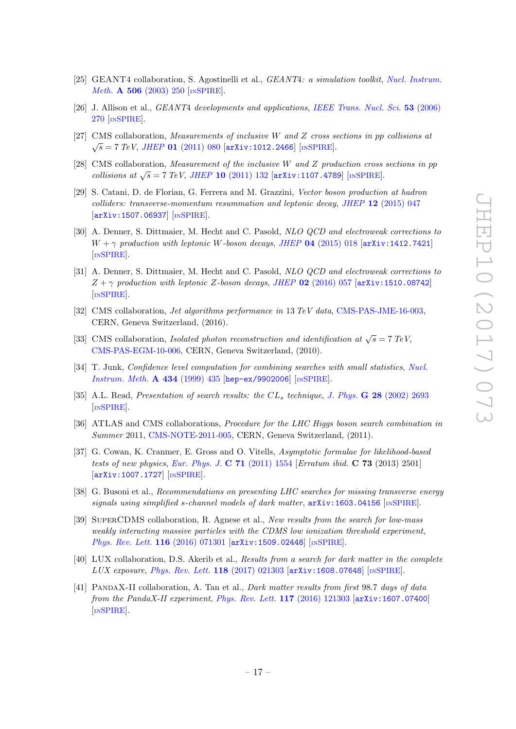- <span id="page-17-0"></span>[25] GEANT4 collaboration, S. Agostinelli et al., GEANT4: a simulation toolkit, [Nucl. Instrum.](https://doi.org/10.1016/S0168-9002(03)01368-8) Meth. A 506 [\(2003\) 250](https://doi.org/10.1016/S0168-9002(03)01368-8) [IN[SPIRE](https://inspirehep.net/search?p=find+J+%22Nucl.Instrum.Meth.,A506,250%22)].
- <span id="page-17-1"></span>[26] J. Allison et al., *GEANT4 developments and applications, [IEEE Trans. Nucl. Sci.](https://doi.org/10.1109/TNS.2006.869826)* 53 (2006) [270](https://doi.org/10.1109/TNS.2006.869826) [IN[SPIRE](https://inspirehep.net/search?p=find+J+%22IEEETrans.Nucl.Sci.,53,270%22)].
- <span id="page-17-2"></span>[27] CMS collaboration, Measurements of inclusive W and Z cross sections in pp collisions at  $\sqrt{s}$  = 7 TeV, JHEP 01 [\(2011\) 080](https://doi.org/10.1007/JHEP01(2011)080) [[arXiv:1012.2466](https://arxiv.org/abs/1012.2466)] [IN[SPIRE](https://inspirehep.net/search?p=find+EPRINT+arXiv:1012.2466)].
- <span id="page-17-3"></span>[28] CMS collaboration, Measurement of the inclusive W and Z production cross sections in pp collisions at  $\sqrt{s}$  = 7 TeV, JHEP 10 [\(2011\) 132](https://doi.org/10.1007/JHEP10(2011)132) [[arXiv:1107.4789](https://arxiv.org/abs/1107.4789)] [IN[SPIRE](https://inspirehep.net/search?p=find+EPRINT+arXiv:1107.4789)].
- <span id="page-17-4"></span>[29] S. Catani, D. de Florian, G. Ferrera and M. Grazzini, Vector boson production at hadron colliders: transverse-momentum resummation and leptonic decay, JHEP 12 [\(2015\) 047](https://doi.org/10.1007/JHEP12(2015)047) [[arXiv:1507.06937](https://arxiv.org/abs/1507.06937)] [IN[SPIRE](https://inspirehep.net/search?p=find+EPRINT+arXiv:1507.06937)].
- <span id="page-17-5"></span>[30] A. Denner, S. Dittmaier, M. Hecht and C. Pasold, NLO QCD and electroweak corrections to  $W + \gamma$  production with leptonic W-boson decays, JHEP 04 [\(2015\) 018](https://doi.org/10.1007/JHEP04(2015)018) [[arXiv:1412.7421](https://arxiv.org/abs/1412.7421)] [IN[SPIRE](https://inspirehep.net/search?p=find+EPRINT+arXiv:1412.7421)].
- <span id="page-17-6"></span>[31] A. Denner, S. Dittmaier, M. Hecht and C. Pasold, NLO QCD and electroweak corrections to  $Z + \gamma$  production with leptonic Z-boson decays, JHEP 02 [\(2016\) 057](https://doi.org/10.1007/JHEP02(2016)057) [[arXiv:1510.08742](https://arxiv.org/abs/1510.08742)] [IN[SPIRE](https://inspirehep.net/search?p=find+EPRINT+arXiv:1510.08742)].
- <span id="page-17-7"></span>[32] CMS collaboration, *Jet algorithms performance in* 13 TeV data, [CMS-PAS-JME-16-003,](http://cds.cern.ch/record/2256875) CERN, Geneva Switzerland, (2016).
- <span id="page-17-8"></span>[33] CMS collaboration, *Isolated photon reconstruction and identification at*  $\sqrt{s} = 7 \text{ TeV}$ , [CMS-PAS-EGM-10-006,](http://cds.cern.ch/record/1324545) CERN, Geneva Switzerland, (2010).
- <span id="page-17-9"></span>[34] T. Junk, Confidence level computation for combining searches with small statistics, [Nucl.](https://doi.org/10.1016/S0168-9002(99)00498-2) [Instrum. Meth.](https://doi.org/10.1016/S0168-9002(99)00498-2) A 434 (1999) 435 [[hep-ex/9902006](https://arxiv.org/abs/hep-ex/9902006)] [IN[SPIRE](https://inspirehep.net/search?p=find+EPRINT+hep-ex/9902006)].
- [35] A.L. Read, Presentation of search results: the  $CL<sub>s</sub>$  technique, J. Phys. **G 28** [\(2002\) 2693](https://doi.org/10.1088/0954-3899/28/10/313) [IN[SPIRE](https://inspirehep.net/search?p=find+J+%22J.Phys.,G28,2693%22)].
- [36] ATLAS and CMS collaborations, Procedure for the LHC Higgs boson search combination in Summer 2011, [CMS-NOTE-2011-005,](http://cds.cern.ch/record/1379837) CERN, Geneva Switzerland, (2011).
- <span id="page-17-10"></span>[37] G. Cowan, K. Cranmer, E. Gross and O. Vitells, Asymptotic formulae for likelihood-based tests of new physics, [Eur. Phys. J.](https://doi.org/10.1140/epjc/s10052-011-1554-0) C 71 (2011) 1554 [Erratum ibid. C 73 (2013) 2501] [[arXiv:1007.1727](https://arxiv.org/abs/1007.1727)] [IN[SPIRE](https://inspirehep.net/search?p=find+EPRINT+arXiv:1007.1727)].
- <span id="page-17-11"></span>[38] G. Busoni et al., Recommendations on presenting LHC searches for missing transverse energy signals using simplified s-channel models of dark matter,  $arXiv:1603.04156$  [IN[SPIRE](https://inspirehep.net/search?p=find+EPRINT+arXiv:1603.04156)].
- <span id="page-17-12"></span>[39] SUPERCDMS collaboration, R. Agnese et al., New results from the search for low-mass weakly interacting massive particles with the CDMS low ionization threshold experiment, [Phys. Rev. Lett.](https://doi.org/10.1103/PhysRevLett.116.071301) 116 (2016) 071301 [[arXiv:1509.02448](https://arxiv.org/abs/1509.02448)] [IN[SPIRE](https://inspirehep.net/search?p=find+EPRINT+arXiv:1509.02448)].
- <span id="page-17-13"></span>[40] LUX collaboration, D.S. Akerib et al., Results from a search for dark matter in the complete  $LUX$  exposure, [Phys. Rev. Lett.](https://doi.org/10.1103/PhysRevLett.118.021303) 118 (2017) 021303 [[arXiv:1608.07648](https://arxiv.org/abs/1608.07648)] [IN[SPIRE](https://inspirehep.net/search?p=find+EPRINT+arXiv:1608.07648)].
- <span id="page-17-14"></span>[41] PANDAX-II collaboration, A. Tan et al., *Dark matter results from first* 98.7 days of data from the PandaX-II experiment, [Phys. Rev. Lett.](https://doi.org/10.1103/PhysRevLett.117.121303) 117 (2016) 121303 [[arXiv:1607.07400](https://arxiv.org/abs/1607.07400)] [IN[SPIRE](https://inspirehep.net/search?p=find+EPRINT+arXiv:1607.07400)].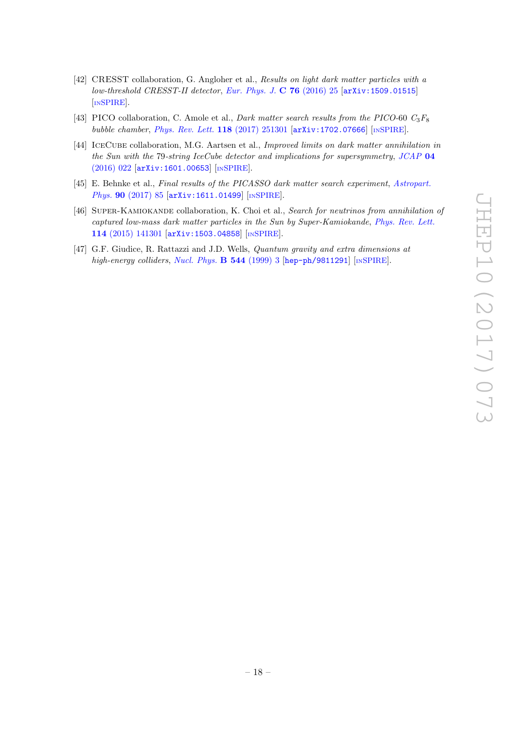- <span id="page-18-0"></span>[42] CRESST collaboration, G. Angloher et al., Results on light dark matter particles with a low-threshold CRESST-II detector, [Eur. Phys. J.](https://doi.org/10.1140/epjc/s10052-016-3877-3) C  $76$  (2016) 25 [[arXiv:1509.01515](https://arxiv.org/abs/1509.01515)] [IN[SPIRE](https://inspirehep.net/search?p=find+EPRINT+arXiv:1509.01515)].
- <span id="page-18-1"></span>[43] PICO collaboration, C. Amole et al., Dark matter search results from the PICO-60  $C_3F_8$ bubble chamber, [Phys. Rev. Lett.](https://doi.org/10.1103/PhysRevLett.118.251301) 118 (2017) 251301 [[arXiv:1702.07666](https://arxiv.org/abs/1702.07666)] [IN[SPIRE](https://inspirehep.net/search?p=find+EPRINT+arXiv:1702.07666)].
- <span id="page-18-2"></span>[44] IceCube collaboration, M.G. Aartsen et al., Improved limits on dark matter annihilation in the Sun with the 79-string IceCube detector and implications for supersymmetry, [JCAP](https://doi.org/10.1088/1475-7516/2016/04/022) 04 [\(2016\) 022](https://doi.org/10.1088/1475-7516/2016/04/022) [[arXiv:1601.00653](https://arxiv.org/abs/1601.00653)] [IN[SPIRE](https://inspirehep.net/search?p=find+EPRINT+arXiv:1601.00653)].
- <span id="page-18-3"></span>[45] E. Behnke et al., Final results of the PICASSO dark matter search experiment, [Astropart.](https://doi.org/10.1016/j.astropartphys.2017.02.005) Phys. 90 [\(2017\) 85](https://doi.org/10.1016/j.astropartphys.2017.02.005) [[arXiv:1611.01499](https://arxiv.org/abs/1611.01499)] [IN[SPIRE](https://inspirehep.net/search?p=find+EPRINT+arXiv:1611.01499)].
- <span id="page-18-4"></span>[46] SUPER-KAMIOKANDE collaboration, K. Choi et al., Search for neutrinos from annihilation of captured low-mass dark matter particles in the Sun by Super-Kamiokande, [Phys. Rev. Lett.](https://doi.org/10.1103/PhysRevLett.114.141301) 114 [\(2015\) 141301](https://doi.org/10.1103/PhysRevLett.114.141301) [[arXiv:1503.04858](https://arxiv.org/abs/1503.04858)] [IN[SPIRE](https://inspirehep.net/search?p=find+EPRINT+arXiv:1503.04858)].
- <span id="page-18-5"></span>[47] G.F. Giudice, R. Rattazzi and J.D. Wells, Quantum gravity and extra dimensions at high-energy colliders, [Nucl. Phys.](https://doi.org/10.1016/S0550-3213(99)00044-9) B 544 (1999) 3 [[hep-ph/9811291](https://arxiv.org/abs/hep-ph/9811291)] [IN[SPIRE](https://inspirehep.net/search?p=find+EPRINT+hep-ph/9811291)].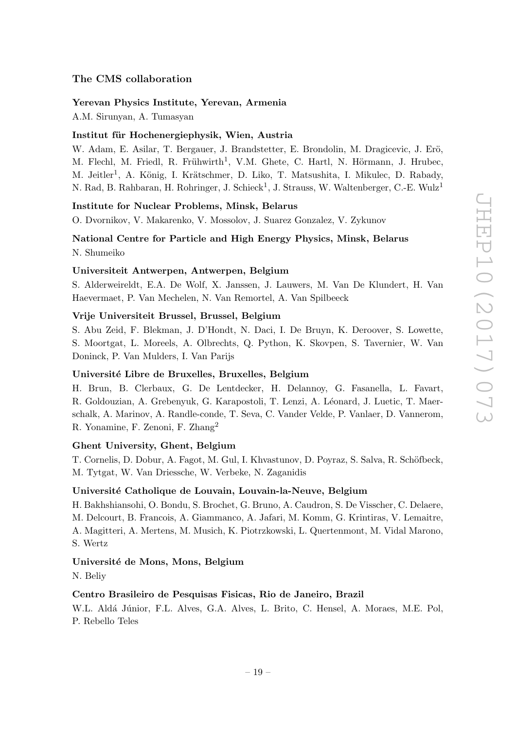### The CMS collaboration

#### <span id="page-19-0"></span>Yerevan Physics Institute, Yerevan, Armenia

A.M. Sirunyan, A. Tumasyan

#### Institut für Hochenergiephysik, Wien, Austria

W. Adam, E. Asilar, T. Bergauer, J. Brandstetter, E. Brondolin, M. Dragicevic, J. Erö, M. Flechl, M. Friedl, R. Frühwirth<sup>1</sup>, V.M. Ghete, C. Hartl, N. Hörmann, J. Hrubec, M. Jeitler<sup>1</sup>, A. König, I. Krätschmer, D. Liko, T. Matsushita, I. Mikulec, D. Rabady, N. Rad, B. Rahbaran, H. Rohringer, J. Schieck<sup>1</sup>, J. Strauss, W. Waltenberger, C.-E. Wulz<sup>1</sup>

#### Institute for Nuclear Problems, Minsk, Belarus

O. Dvornikov, V. Makarenko, V. Mossolov, J. Suarez Gonzalez, V. Zykunov

# National Centre for Particle and High Energy Physics, Minsk, Belarus N. Shumeiko

#### Universiteit Antwerpen, Antwerpen, Belgium

S. Alderweireldt, E.A. De Wolf, X. Janssen, J. Lauwers, M. Van De Klundert, H. Van Haevermaet, P. Van Mechelen, N. Van Remortel, A. Van Spilbeeck

#### Vrije Universiteit Brussel, Brussel, Belgium

S. Abu Zeid, F. Blekman, J. D'Hondt, N. Daci, I. De Bruyn, K. Deroover, S. Lowette, S. Moortgat, L. Moreels, A. Olbrechts, Q. Python, K. Skovpen, S. Tavernier, W. Van Doninck, P. Van Mulders, I. Van Parijs

#### Universit´e Libre de Bruxelles, Bruxelles, Belgium

H. Brun, B. Clerbaux, G. De Lentdecker, H. Delannoy, G. Fasanella, L. Favart, R. Goldouzian, A. Grebenyuk, G. Karapostoli, T. Lenzi, A. Léonard, J. Luetic, T. Maerschalk, A. Marinov, A. Randle-conde, T. Seva, C. Vander Velde, P. Vanlaer, D. Vannerom, R. Yonamine, F. Zenoni, F. Zhang<sup>2</sup>

### Ghent University, Ghent, Belgium

T. Cornelis, D. Dobur, A. Fagot, M. Gul, I. Khvastunov, D. Poyraz, S. Salva, R. Schöfbeck, M. Tytgat, W. Van Driessche, W. Verbeke, N. Zaganidis

### Université Catholique de Louvain, Louvain-la-Neuve, Belgium

H. Bakhshiansohi, O. Bondu, S. Brochet, G. Bruno, A. Caudron, S. De Visscher, C. Delaere, M. Delcourt, B. Francois, A. Giammanco, A. Jafari, M. Komm, G. Krintiras, V. Lemaitre, A. Magitteri, A. Mertens, M. Musich, K. Piotrzkowski, L. Quertenmont, M. Vidal Marono, S. Wertz

#### Université de Mons, Mons, Belgium

N. Beliy

#### Centro Brasileiro de Pesquisas Fisicas, Rio de Janeiro, Brazil

W.L. Aldá Júnior, F.L. Alves, G.A. Alves, L. Brito, C. Hensel, A. Moraes, M.E. Pol, P. Rebello Teles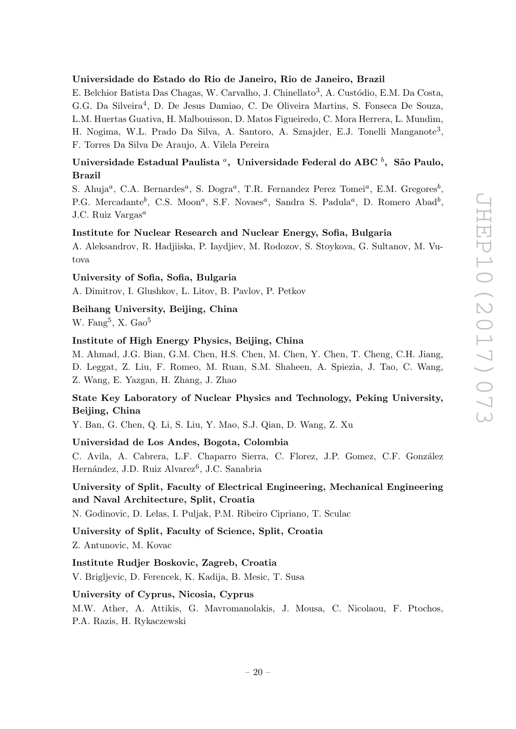#### Universidade do Estado do Rio de Janeiro, Rio de Janeiro, Brazil

E. Belchior Batista Das Chagas, W. Carvalho, J. Chinellato<sup>3</sup>, A. Custódio, E.M. Da Costa, G.G. Da Silveira<sup>4</sup>, D. De Jesus Damiao, C. De Oliveira Martins, S. Fonseca De Souza, L.M. Huertas Guativa, H. Malbouisson, D. Matos Figueiredo, C. Mora Herrera, L. Mundim, H. Nogima, W.L. Prado Da Silva, A. Santoro, A. Sznajder, E.J. Tonelli Manganote<sup>3</sup>, F. Torres Da Silva De Araujo, A. Vilela Pereira

# Universidade Estadual Paulista <sup>a</sup>, Universidade Federal do ABC  $^b$ , São Paulo, Brazil

S. Ahuja<sup>a</sup>, C.A. Bernardes<sup>a</sup>, S. Dogra<sup>a</sup>, T.R. Fernandez Perez Tomei<sup>a</sup>, E.M. Gregores<sup>b</sup>, P.G. Mercadante<sup>b</sup>, C.S. Moon<sup>a</sup>, S.F. Novaes<sup>a</sup>, Sandra S. Padula<sup>a</sup>, D. Romero Abad<sup>b</sup>, J.C. Ruiz Vargas $^a$ 

#### Institute for Nuclear Research and Nuclear Energy, Sofia, Bulgaria

A. Aleksandrov, R. Hadjiiska, P. Iaydjiev, M. Rodozov, S. Stoykova, G. Sultanov, M. Vutova

#### University of Sofia, Sofia, Bulgaria

A. Dimitrov, I. Glushkov, L. Litov, B. Pavlov, P. Petkov

### Beihang University, Beijing, China

W. Fang $^5$ , X. Gao $^5$ 

# Institute of High Energy Physics, Beijing, China

M. Ahmad, J.G. Bian, G.M. Chen, H.S. Chen, M. Chen, Y. Chen, T. Cheng, C.H. Jiang, D. Leggat, Z. Liu, F. Romeo, M. Ruan, S.M. Shaheen, A. Spiezia, J. Tao, C. Wang, Z. Wang, E. Yazgan, H. Zhang, J. Zhao

# State Key Laboratory of Nuclear Physics and Technology, Peking University, Beijing, China

Y. Ban, G. Chen, Q. Li, S. Liu, Y. Mao, S.J. Qian, D. Wang, Z. Xu

#### Universidad de Los Andes, Bogota, Colombia

C. Avila, A. Cabrera, L.F. Chaparro Sierra, C. Florez, J.P. Gomez, C.F. González Hernández, J.D. Ruiz Alvarez<sup>6</sup>, J.C. Sanabria

# University of Split, Faculty of Electrical Engineering, Mechanical Engineering and Naval Architecture, Split, Croatia

N. Godinovic, D. Lelas, I. Puljak, P.M. Ribeiro Cipriano, T. Sculac

#### University of Split, Faculty of Science, Split, Croatia

Z. Antunovic, M. Kovac

Institute Rudjer Boskovic, Zagreb, Croatia

V. Brigljevic, D. Ferencek, K. Kadija, B. Mesic, T. Susa

#### University of Cyprus, Nicosia, Cyprus

M.W. Ather, A. Attikis, G. Mavromanolakis, J. Mousa, C. Nicolaou, F. Ptochos, P.A. Razis, H. Rykaczewski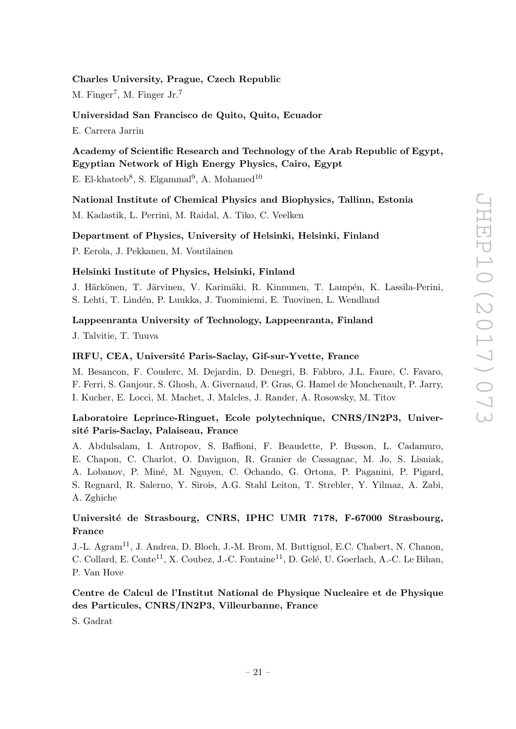#### Charles University, Prague, Czech Republic

M. Finger<sup>7</sup>, M. Finger Jr.<sup>7</sup>

#### Universidad San Francisco de Quito, Quito, Ecuador

E. Carrera Jarrin

# Academy of Scientific Research and Technology of the Arab Republic of Egypt, Egyptian Network of High Energy Physics, Cairo, Egypt

E. El-khateeb<sup>8</sup>, S. Elgammal<sup>9</sup>, A. Mohamed<sup>10</sup>

# National Institute of Chemical Physics and Biophysics, Tallinn, Estonia M. Kadastik, L. Perrini, M. Raidal, A. Tiko, C. Veelken

### Department of Physics, University of Helsinki, Helsinki, Finland

P. Eerola, J. Pekkanen, M. Voutilainen

#### Helsinki Institute of Physics, Helsinki, Finland

J. Härkönen, T. Järvinen, V. Karimäki, R. Kinnunen, T. Lampén, K. Lassila-Perini, S. Lehti, T. Lindén, P. Luukka, J. Tuominiemi, E. Tuovinen, L. Wendland

#### Lappeenranta University of Technology, Lappeenranta, Finland

J. Talvitie, T. Tuuva

#### IRFU, CEA, Université Paris-Saclay, Gif-sur-Yvette, France

M. Besancon, F. Couderc, M. Dejardin, D. Denegri, B. Fabbro, J.L. Faure, C. Favaro, F. Ferri, S. Ganjour, S. Ghosh, A. Givernaud, P. Gras, G. Hamel de Monchenault, P. Jarry, I. Kucher, E. Locci, M. Machet, J. Malcles, J. Rander, A. Rosowsky, M. Titov

# Laboratoire Leprince-Ringuet, Ecole polytechnique, CNRS/IN2P3, Université Paris-Saclay, Palaiseau, France

A. Abdulsalam, I. Antropov, S. Baffioni, F. Beaudette, P. Busson, L. Cadamuro, E. Chapon, C. Charlot, O. Davignon, R. Granier de Cassagnac, M. Jo, S. Lisniak, A. Lobanov, P. Miné, M. Nguyen, C. Ochando, G. Ortona, P. Paganini, P. Pigard, S. Regnard, R. Salerno, Y. Sirois, A.G. Stahl Leiton, T. Strebler, Y. Yilmaz, A. Zabi, A. Zghiche

# Université de Strasbourg, CNRS, IPHC UMR 7178, F-67000 Strasbourg, France

J.-L. Agram<sup>11</sup>, J. Andrea, D. Bloch, J.-M. Brom, M. Buttignol, E.C. Chabert, N. Chanon, C. Collard, E. Conte<sup>11</sup>, X. Coubez, J.-C. Fontaine<sup>11</sup>, D. Gelé, U. Goerlach, A.-C. Le Bihan, P. Van Hove

# Centre de Calcul de l'Institut National de Physique Nucleaire et de Physique des Particules, CNRS/IN2P3, Villeurbanne, France

S. Gadrat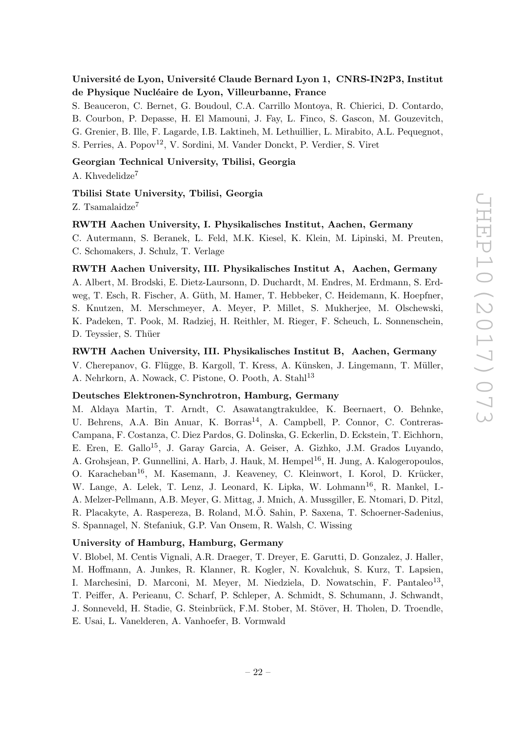# Université de Lyon, Université Claude Bernard Lyon 1, CNRS-IN2P3, Institut de Physique Nucléaire de Lyon, Villeurbanne, France

S. Beauceron, C. Bernet, G. Boudoul, C.A. Carrillo Montoya, R. Chierici, D. Contardo,

B. Courbon, P. Depasse, H. El Mamouni, J. Fay, L. Finco, S. Gascon, M. Gouzevitch,

G. Grenier, B. Ille, F. Lagarde, I.B. Laktineh, M. Lethuillier, L. Mirabito, A.L. Pequegnot,

S. Perries, A. Popov<sup>12</sup>, V. Sordini, M. Vander Donckt, P. Verdier, S. Viret

# Georgian Technical University, Tbilisi, Georgia

A. Khvedelidze<sup>7</sup>

# Tbilisi State University, Tbilisi, Georgia

Z. Tsamalaidze<sup>7</sup>

#### RWTH Aachen University, I. Physikalisches Institut, Aachen, Germany

C. Autermann, S. Beranek, L. Feld, M.K. Kiesel, K. Klein, M. Lipinski, M. Preuten, C. Schomakers, J. Schulz, T. Verlage

### RWTH Aachen University, III. Physikalisches Institut A, Aachen, Germany

A. Albert, M. Brodski, E. Dietz-Laursonn, D. Duchardt, M. Endres, M. Erdmann, S. Erdweg, T. Esch, R. Fischer, A. Güth, M. Hamer, T. Hebbeker, C. Heidemann, K. Hoepfner, S. Knutzen, M. Merschmeyer, A. Meyer, P. Millet, S. Mukherjee, M. Olschewski, K. Padeken, T. Pook, M. Radziej, H. Reithler, M. Rieger, F. Scheuch, L. Sonnenschein, D. Teyssier, S. Thüer

#### RWTH Aachen University, III. Physikalisches Institut B, Aachen, Germany

V. Cherepanov, G. Flügge, B. Kargoll, T. Kress, A. Künsken, J. Lingemann, T. Müller, A. Nehrkorn, A. Nowack, C. Pistone, O. Pooth, A. Stahl<sup>13</sup>

### Deutsches Elektronen-Synchrotron, Hamburg, Germany

M. Aldaya Martin, T. Arndt, C. Asawatangtrakuldee, K. Beernaert, O. Behnke, U. Behrens, A.A. Bin Anuar, K. Borras<sup>14</sup>, A. Campbell, P. Connor, C. Contreras-Campana, F. Costanza, C. Diez Pardos, G. Dolinska, G. Eckerlin, D. Eckstein, T. Eichhorn, E. Eren, E. Gallo<sup>15</sup>, J. Garay Garcia, A. Geiser, A. Gizhko, J.M. Grados Luyando, A. Grohsjean, P. Gunnellini, A. Harb, J. Hauk, M. Hempel<sup>16</sup>, H. Jung, A. Kalogeropoulos, O. Karacheban<sup>16</sup>, M. Kasemann, J. Keaveney, C. Kleinwort, I. Korol, D. Krücker, W. Lange, A. Lelek, T. Lenz, J. Leonard, K. Lipka, W. Lohmann<sup>16</sup>, R. Mankel, I.-A. Melzer-Pellmann, A.B. Meyer, G. Mittag, J. Mnich, A. Mussgiller, E. Ntomari, D. Pitzl, R. Placakyte, A. Raspereza, B. Roland, M.O. Sahin, P. Saxena, T. Schoerner-Sadenius, S. Spannagel, N. Stefaniuk, G.P. Van Onsem, R. Walsh, C. Wissing

#### University of Hamburg, Hamburg, Germany

V. Blobel, M. Centis Vignali, A.R. Draeger, T. Dreyer, E. Garutti, D. Gonzalez, J. Haller, M. Hoffmann, A. Junkes, R. Klanner, R. Kogler, N. Kovalchuk, S. Kurz, T. Lapsien, I. Marchesini, D. Marconi, M. Meyer, M. Niedziela, D. Nowatschin, F. Pantaleo<sup>13</sup>, T. Peiffer, A. Perieanu, C. Scharf, P. Schleper, A. Schmidt, S. Schumann, J. Schwandt, J. Sonneveld, H. Stadie, G. Steinbrück, F.M. Stober, M. Stöver, H. Tholen, D. Troendle, E. Usai, L. Vanelderen, A. Vanhoefer, B. Vormwald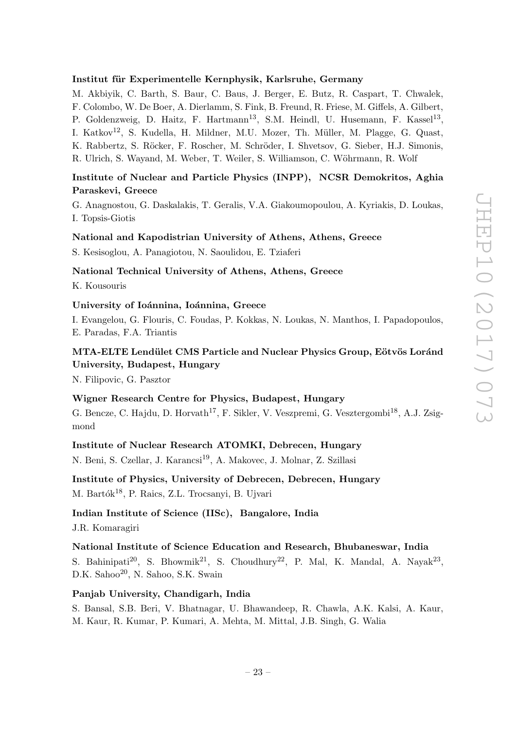#### Institut für Experimentelle Kernphysik, Karlsruhe, Germany

M. Akbiyik, C. Barth, S. Baur, C. Baus, J. Berger, E. Butz, R. Caspart, T. Chwalek, F. Colombo, W. De Boer, A. Dierlamm, S. Fink, B. Freund, R. Friese, M. Giffels, A. Gilbert, P. Goldenzweig, D. Haitz, F. Hartmann<sup>13</sup>, S.M. Heindl, U. Husemann, F. Kassel<sup>13</sup>, I. Katkov<sup>12</sup>, S. Kudella, H. Mildner, M.U. Mozer, Th. Müller, M. Plagge, G. Quast, K. Rabbertz, S. Röcker, F. Roscher, M. Schröder, I. Shvetsov, G. Sieber, H.J. Simonis, R. Ulrich, S. Wayand, M. Weber, T. Weiler, S. Williamson, C. Wöhrmann, R. Wolf

# Institute of Nuclear and Particle Physics (INPP), NCSR Demokritos, Aghia Paraskevi, Greece

G. Anagnostou, G. Daskalakis, T. Geralis, V.A. Giakoumopoulou, A. Kyriakis, D. Loukas, I. Topsis-Giotis

#### National and Kapodistrian University of Athens, Athens, Greece

S. Kesisoglou, A. Panagiotou, N. Saoulidou, E. Tziaferi

### National Technical University of Athens, Athens, Greece

K. Kousouris

#### University of Ioánnina, Ioánnina, Greece

I. Evangelou, G. Flouris, C. Foudas, P. Kokkas, N. Loukas, N. Manthos, I. Papadopoulos, E. Paradas, F.A. Triantis

# MTA-ELTE Lendület CMS Particle and Nuclear Physics Group, Eötvös Loránd University, Budapest, Hungary

N. Filipovic, G. Pasztor

#### Wigner Research Centre for Physics, Budapest, Hungary

G. Bencze, C. Hajdu, D. Horvath<sup>17</sup>, F. Sikler, V. Veszpremi, G. Vesztergombi<sup>18</sup>, A.J. Zsigmond

# Institute of Nuclear Research ATOMKI, Debrecen, Hungary

N. Beni, S. Czellar, J. Karancsi<sup>19</sup>, A. Makovec, J. Molnar, Z. Szillasi

# Institute of Physics, University of Debrecen, Debrecen, Hungary M. Bartók<sup>18</sup>, P. Raics, Z.L. Trocsanyi, B. Ujvari

# Indian Institute of Science (IISc), Bangalore, India

J.R. Komaragiri

#### National Institute of Science Education and Research, Bhubaneswar, India

S. Bahinipati<sup>20</sup>, S. Bhowmik<sup>21</sup>, S. Choudhury<sup>22</sup>, P. Mal, K. Mandal, A. Nayak<sup>23</sup>, D.K. Sahoo<sup>20</sup>, N. Sahoo, S.K. Swain

### Panjab University, Chandigarh, India

S. Bansal, S.B. Beri, V. Bhatnagar, U. Bhawandeep, R. Chawla, A.K. Kalsi, A. Kaur, M. Kaur, R. Kumar, P. Kumari, A. Mehta, M. Mittal, J.B. Singh, G. Walia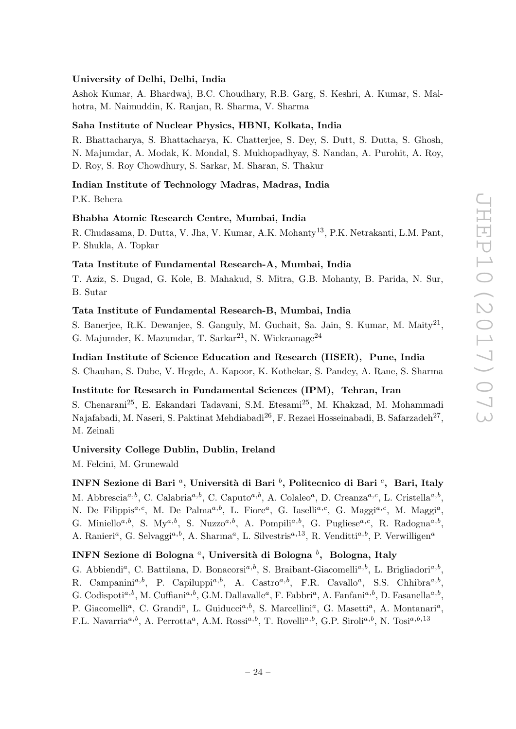#### University of Delhi, Delhi, India

Ashok Kumar, A. Bhardwaj, B.C. Choudhary, R.B. Garg, S. Keshri, A. Kumar, S. Malhotra, M. Naimuddin, K. Ranjan, R. Sharma, V. Sharma

#### Saha Institute of Nuclear Physics, HBNI, Kolkata, India

R. Bhattacharya, S. Bhattacharya, K. Chatterjee, S. Dey, S. Dutt, S. Dutta, S. Ghosh, N. Majumdar, A. Modak, K. Mondal, S. Mukhopadhyay, S. Nandan, A. Purohit, A. Roy, D. Roy, S. Roy Chowdhury, S. Sarkar, M. Sharan, S. Thakur

#### Indian Institute of Technology Madras, Madras, India

P.K. Behera

#### Bhabha Atomic Research Centre, Mumbai, India

R. Chudasama, D. Dutta, V. Jha, V. Kumar, A.K. Mohanty<sup>13</sup>, P.K. Netrakanti, L.M. Pant, P. Shukla, A. Topkar

#### Tata Institute of Fundamental Research-A, Mumbai, India

T. Aziz, S. Dugad, G. Kole, B. Mahakud, S. Mitra, G.B. Mohanty, B. Parida, N. Sur, B. Sutar

#### Tata Institute of Fundamental Research-B, Mumbai, India

S. Banerjee, R.K. Dewanjee, S. Ganguly, M. Guchait, Sa. Jain, S. Kumar, M. Maity<sup>21</sup>, G. Majumder, K. Mazumdar, T. Sarkar<sup>21</sup>, N. Wickramage<sup>24</sup>

#### Indian Institute of Science Education and Research (IISER), Pune, India

S. Chauhan, S. Dube, V. Hegde, A. Kapoor, K. Kothekar, S. Pandey, A. Rane, S. Sharma

### Institute for Research in Fundamental Sciences (IPM), Tehran, Iran

S. Chenarani25, E. Eskandari Tadavani, S.M. Etesami25, M. Khakzad, M. Mohammadi Najafabadi, M. Naseri, S. Paktinat Mehdiabadi<sup>26</sup>, F. Rezaei Hosseinabadi, B. Safarzadeh<sup>27</sup>, M. Zeinali

### University College Dublin, Dublin, Ireland

M. Felcini, M. Grunewald

# INFN Sezione di Bari <sup>a</sup>, Università di Bari  $^b$ , Politecnico di Bari  $^c$ , Bari, Italy

M. Abbrescia<sup>a,b</sup>, C. Calabria<sup>a,b</sup>, C. Caputo<sup>a,b</sup>, A. Colaleo<sup>a</sup>, D. Creanza<sup>a,c</sup>, L. Cristella<sup>a,b</sup>, N. De Filippis<sup>a,c</sup>, M. De Palma<sup>a,b</sup>, L. Fiore<sup>a</sup>, G. Iaselli<sup>a,c</sup>, G. Maggi<sup>a,c</sup>, M. Maggi<sup>a</sup>, G. Miniello<sup>a,b</sup>, S. My<sup>a,b</sup>, S. Nuzzo<sup>a,b</sup>, A. Pompili<sup>a,b</sup>, G. Pugliese<sup>a,c</sup>, R. Radogna<sup>a,b</sup>, A. Ranieri<sup>a</sup>, G. Selvaggi<sup>a,b</sup>, A. Sharma<sup>a</sup>, L. Silvestris<sup>a,13</sup>, R. Venditti<sup>a,b</sup>, P. Verwilligen<sup>a</sup>

# INFN Sezione di Bologna <sup>a</sup>, Università di Bologna  $^b$ , Bologna, Italy

G. Abbiendi<sup>a</sup>, C. Battilana, D. Bonacorsi<sup>a,b</sup>, S. Braibant-Giacomelli<sup>a,b</sup>, L. Brigliadori<sup>a,b</sup>, R. Campanini<sup>a,b</sup>, P. Capiluppi<sup>a,b</sup>, A. Castro<sup>a,b</sup>, F.R. Cavallo<sup>a</sup>, S.S. Chhibra<sup>a,b</sup>, G. Codispoti<sup>a,b</sup>, M. Cuffiani<sup>a,b</sup>, G.M. Dallavalle<sup>a</sup>, F. Fabbri<sup>a</sup>, A. Fanfani<sup>a,b</sup>, D. Fasanella<sup>a,b</sup>, P. Giacomelli<sup>a</sup>, C. Grandi<sup>a</sup>, L. Guiducci<sup>a,b</sup>, S. Marcellini<sup>a</sup>, G. Masetti<sup>a</sup>, A. Montanari<sup>a</sup>, F.L. Navarria<sup>a,b</sup>, A. Perrotta<sup>a</sup>, A.M. Rossi<sup>a,b</sup>, T. Rovelli<sup>a,b</sup>, G.P. Siroli<sup>a,b</sup>, N. Tosi<sup>a,b,13</sup>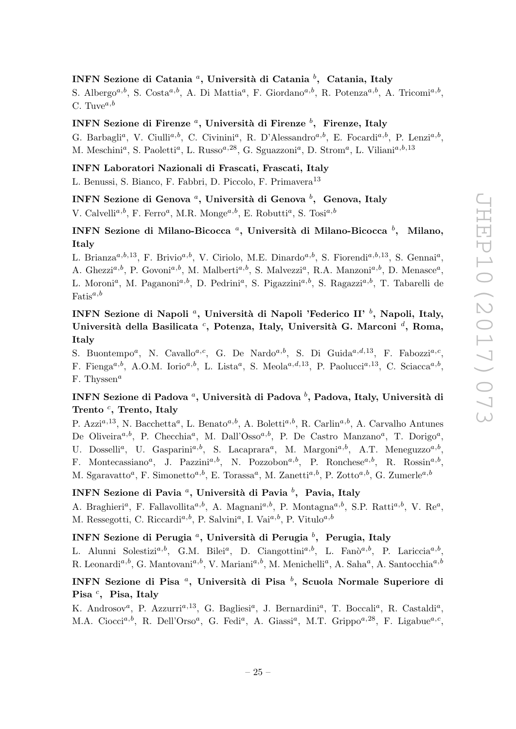# INFN Sezione di Catania <sup>a</sup>, Università di Catania  $^b$ , Catania, Italy

S. Albergo<sup>a,b</sup>, S. Costa<sup>a,b</sup>, A. Di Mattia<sup>a</sup>, F. Giordano<sup>a,b</sup>, R. Potenza<sup>a,b</sup>, A. Tricomi<sup>a,b</sup>, C. Tuve<sup> $a,b$ </sup>

# INFN Sezione di Firenze  $^a,$  Università di Firenze  $^b, \,$  Firenze, Italy

G. Barbagli<sup>a</sup>, V. Ciulli<sup>a,b</sup>, C. Civinini<sup>a</sup>, R. D'Alessandro<sup>a,b</sup>, E. Focardi<sup>a,b</sup>, P. Lenzi<sup>a,b</sup>, M. Meschini<sup>a</sup>, S. Paoletti<sup>a</sup>, L. Russo<sup>a, 28</sup>, G. Sguazzoni<sup>a</sup>, D. Strom<sup>a</sup>, L. Viliani<sup>a, b, 13</sup>

# INFN Laboratori Nazionali di Frascati, Frascati, Italy

L. Benussi, S. Bianco, F. Fabbri, D. Piccolo, F. Primavera<sup>13</sup>

INFN Sezione di Genova <sup>a</sup>, Università di Genova  $^b$ , Genova, Italy V. Calvelli<sup>a,b</sup>, F. Ferro<sup>a</sup>, M.R. Monge<sup>a,b</sup>, E. Robutti<sup>a</sup>, S. Tosi<sup>a,b</sup>

# INFN Sezione di Milano-Bicocca <sup>a</sup>, Università di Milano-Bicocca <sup>b</sup>, Milano, Italy

L. Brianza<sup>a,b,13</sup>, F. Brivio<sup>a,b</sup>, V. Ciriolo, M.E. Dinardo<sup>a,b</sup>, S. Fiorendi<sup>a,b,13</sup>, S. Gennai<sup>a</sup>, A. Ghezzi<sup>a,b</sup>, P. Govoni<sup>a,b</sup>, M. Malberti<sup>a,b</sup>, S. Malvezzi<sup>a</sup>, R.A. Manzoni<sup>a,b</sup>, D. Menasce<sup>a</sup>, L. Moroni<sup>a</sup>, M. Paganoni<sup>a,b</sup>, D. Pedrini<sup>a</sup>, S. Pigazzini<sup>a,b</sup>, S. Ragazzi<sup>a,b</sup>, T. Tabarelli de  $Fatis<sup>a,b</sup>$ 

# INFN Sezione di Napoli <sup>a</sup>, Università di Napoli 'Federico II'  $^b$ , Napoli, Italy, Università della Basilicata  $^c$ , Potenza, Italy, Università G. Marconi  $^d$ , Roma, Italy

S. Buontempo<sup>a</sup>, N. Cavallo<sup>a,c</sup>, G. De Nardo<sup>a,b</sup>, S. Di Guida<sup>a,d,13</sup>, F. Fabozzi<sup>a,c</sup>, F. Fienga<sup>a,b</sup>, A.O.M. Iorio<sup>a,b</sup>, L. Lista<sup>a</sup>, S. Meola<sup>a,d,13</sup>, P. Paolucci<sup>a,13</sup>, C. Sciacca<sup>a,b</sup>, F. Thyssen<sup>a</sup>

# INFN Sezione di Padova <sup>a</sup>, Università di Padova  $^b$ , Padova, Italy, Università di  $Trento<sup>c</sup>$ , Trento, Italy

P. Azzi<sup>a, 13</sup>, N. Bacchetta<sup>a</sup>, L. Benato<sup>a,b</sup>, A. Boletti<sup>a,b</sup>, R. Carlin<sup>a,b</sup>, A. Carvalho Antunes De Oliveira<sup>a,b</sup>, P. Checchia<sup>a</sup>, M. Dall'Osso<sup>a,b</sup>, P. De Castro Manzano<sup>a</sup>, T. Dorigo<sup>a</sup>, U. Dosselli<sup>a</sup>, U. Gasparini<sup>a,b</sup>, S. Lacaprara<sup>a</sup>, M. Margoni<sup>a,b</sup>, A.T. Meneguzzo<sup>a,b</sup>, F. Montecassiano<sup>a</sup>, J. Pazzini<sup>a,b</sup>, N. Pozzobon<sup>a,b</sup>, P. Ronchese<sup>a,b</sup>, R. Rossin<sup>a,b</sup>, M. Sgaravatto<sup>a</sup>, F. Simonetto<sup>a,b</sup>, E. Torassa<sup>a</sup>, M. Zanetti<sup>a,b</sup>, P. Zotto<sup>a,b</sup>, G. Zumerle<sup>a,b</sup>

# INFN Sezione di Pavia  $^a,$  Università di Pavia  $^b, \, \,$  Pavia, Italy

A. Braghieri<sup>a</sup>, F. Fallavollita<sup>a,b</sup>, A. Magnani<sup>a,b</sup>, P. Montagna<sup>a,b</sup>, S.P. Ratti<sup>a,b</sup>, V. Re<sup>a</sup>, M. Ressegotti, C. Riccardi<sup>a,b</sup>, P. Salvini<sup>a</sup>, I. Vai<sup>a,b</sup>, P. Vitulo<sup>a,b</sup>

# INFN Sezione di Perugia <sup>a</sup>, Università di Perugia  $^b$ , Perugia, Italy

L. Alunni Solestizi<sup>a,b</sup>, G.M. Bilei<sup>a</sup>, D. Ciangottini<sup>a,b</sup>, L. Fanò<sup>a,b</sup>, P. Lariccia<sup>a,b</sup>, R. Leonardi<sup>a, b</sup>, G. Mantovani<sup>a, b</sup>, V. Mariani<sup>a, b</sup>, M. Menichelli<sup>a</sup>, A. Saha<sup>a</sup>, A. Santocchia<sup>a, b</sup>

# INFN Sezione di Pisa <sup>a</sup>, Università di Pisa <sup>b</sup>, Scuola Normale Superiore di Pisa<sup>c</sup>, Pisa, Italy

K. Androsov<sup>a</sup>, P. Azzurri<sup>a, 13</sup>, G. Bagliesi<sup>a</sup>, J. Bernardini<sup>a</sup>, T. Boccali<sup>a</sup>, R. Castaldi<sup>a</sup>, M.A. Ciocci<sup>a,b</sup>, R. Dell'Orso<sup>a</sup>, G. Fedi<sup>a</sup>, A. Giassi<sup>a</sup>, M.T. Grippo<sup>a,28</sup>, F. Ligabue<sup>a,c</sup>,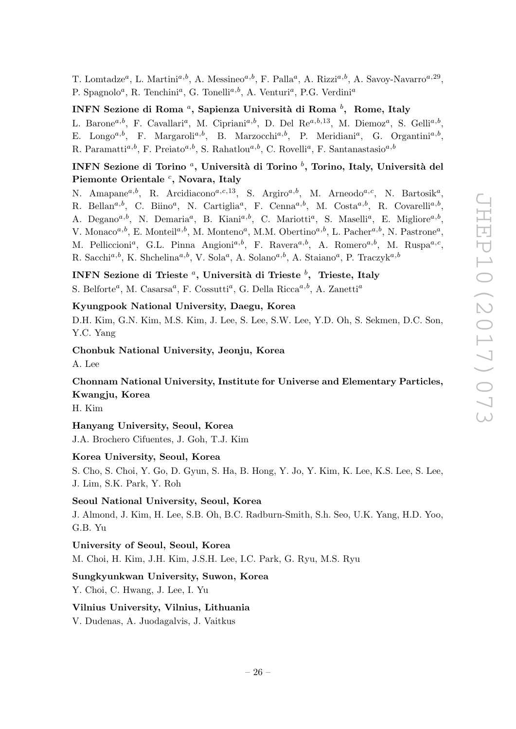T. Lomtadze<sup>a</sup>, L. Martini<sup>a,b</sup>, A. Messineo<sup>a,b</sup>, F. Palla<sup>a</sup>, A. Rizzi<sup>a,b</sup>, A. Savoy-Navarro<sup>a,29</sup>, P. Spagnolo<sup>a</sup>, R. Tenchini<sup>a</sup>, G. Tonelli<sup>a,b</sup>, A. Venturi<sup>a</sup>, P.G. Verdini<sup>a</sup>

# INFN Sezione di Roma <sup>a</sup>, Sapienza Università di Roma  $^b$ , Rome, Italy

L. Barone<sup>a,b</sup>, F. Cavallari<sup>a</sup>, M. Cipriani<sup>a,b</sup>, D. Del Re<sup>a,b,13</sup>, M. Diemoz<sup>a</sup>, S. Gelli<sup>a,b</sup>, E. Longo<sup>a,b</sup>, F. Margaroli<sup>a,b</sup>, B. Marzocchi<sup>a,b</sup>, P. Meridiani<sup>a</sup>, G. Organtini<sup>a,b</sup>, R. Paramatti<sup>a,b</sup>, F. Preiato<sup>a,b</sup>, S. Rahatlou<sup>a,b</sup>, C. Rovelli<sup>a</sup>, F. Santanastasio<sup>a,b</sup>

# INFN Sezione di Torino <sup>a</sup>, Università di Torino  $^b,$  Torino, Italy, Università del Piemonte Orientale  $^c$ , Novara, Italy

N. Amapane<sup>a,b</sup>, R. Arcidiacono<sup>a,c,13</sup>, S. Argiro<sup>a,b</sup>, M. Arneodo<sup>a,c</sup>, N. Bartosik<sup>a</sup>, R. Bellan<sup>a,b</sup>, C. Biino<sup>a</sup>, N. Cartiglia<sup>a</sup>, F. Cenna<sup>a,b</sup>, M. Costa<sup>a,b</sup>, R. Covarelli<sup>a,b</sup>, A. Degano<sup>a,b</sup>, N. Demaria<sup>a</sup>, B. Kiani<sup>a,b</sup>, C. Mariotti<sup>a</sup>, S. Maselli<sup>a</sup>, E. Migliore<sup>a,b</sup>, V. Monaco<sup>a,b</sup>, E. Monteil<sup>a,b</sup>, M. Monteno<sup>a</sup>, M.M. Obertino<sup>a,b</sup>, L. Pacher<sup>a,b</sup>, N. Pastrone<sup>a</sup>, M. Pelliccioni<sup>a</sup>, G.L. Pinna Angioni<sup>a,b</sup>, F. Ravera<sup>a,b</sup>, A. Romero<sup>a,b</sup>, M. Ruspa<sup>a,c</sup>, R. Sacchi<sup>a,b</sup>, K. Shchelina<sup>a,b</sup>, V. Sola<sup>a</sup>, A. Solano<sup>a,b</sup>, A. Staiano<sup>a</sup>, P. Traczyk<sup>a,b</sup>

INFN Sezione di Trieste <sup>a</sup>, Università di Trieste  $^b$ , Trieste, Italy

S. Belforte<sup>a</sup>, M. Casarsa<sup>a</sup>, F. Cossutti<sup>a</sup>, G. Della Ricca<sup>a,b</sup>, A. Zanetti<sup>a</sup>

### Kyungpook National University, Daegu, Korea

D.H. Kim, G.N. Kim, M.S. Kim, J. Lee, S. Lee, S.W. Lee, Y.D. Oh, S. Sekmen, D.C. Son, Y.C. Yang

Chonbuk National University, Jeonju, Korea

A. Lee

# Chonnam National University, Institute for Universe and Elementary Particles, Kwangju, Korea

H. Kim

# Hanyang University, Seoul, Korea

J.A. Brochero Cifuentes, J. Goh, T.J. Kim

#### Korea University, Seoul, Korea

S. Cho, S. Choi, Y. Go, D. Gyun, S. Ha, B. Hong, Y. Jo, Y. Kim, K. Lee, K.S. Lee, S. Lee, J. Lim, S.K. Park, Y. Roh

#### Seoul National University, Seoul, Korea

J. Almond, J. Kim, H. Lee, S.B. Oh, B.C. Radburn-Smith, S.h. Seo, U.K. Yang, H.D. Yoo, G.B. Yu

University of Seoul, Seoul, Korea M. Choi, H. Kim, J.H. Kim, J.S.H. Lee, I.C. Park, G. Ryu, M.S. Ryu

# Sungkyunkwan University, Suwon, Korea

Y. Choi, C. Hwang, J. Lee, I. Yu

### Vilnius University, Vilnius, Lithuania

V. Dudenas, A. Juodagalvis, J. Vaitkus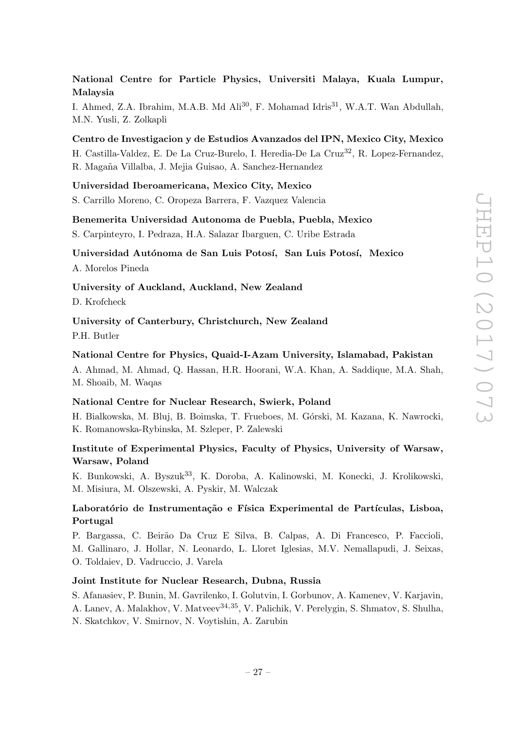# National Centre for Particle Physics, Universiti Malaya, Kuala Lumpur, Malaysia

I. Ahmed, Z.A. Ibrahim, M.A.B. Md Ali<sup>30</sup>, F. Mohamad Idris<sup>31</sup>, W.A.T. Wan Abdullah, M.N. Yusli, Z. Zolkapli

#### Centro de Investigacion y de Estudios Avanzados del IPN, Mexico City, Mexico

H. Castilla-Valdez, E. De La Cruz-Burelo, I. Heredia-De La Cruz<sup>32</sup>, R. Lopez-Fernandez, R. Maga˜na Villalba, J. Mejia Guisao, A. Sanchez-Hernandez

#### Universidad Iberoamericana, Mexico City, Mexico

S. Carrillo Moreno, C. Oropeza Barrera, F. Vazquez Valencia

#### Benemerita Universidad Autonoma de Puebla, Puebla, Mexico

S. Carpinteyro, I. Pedraza, H.A. Salazar Ibarguen, C. Uribe Estrada

#### Universidad Autónoma de San Luis Potosí, San Luis Potosí, Mexico

A. Morelos Pineda

### University of Auckland, Auckland, New Zealand

D. Krofcheck

# University of Canterbury, Christchurch, New Zealand

P.H. Butler

### National Centre for Physics, Quaid-I-Azam University, Islamabad, Pakistan

A. Ahmad, M. Ahmad, Q. Hassan, H.R. Hoorani, W.A. Khan, A. Saddique, M.A. Shah, M. Shoaib, M. Waqas

### National Centre for Nuclear Research, Swierk, Poland

H. Bialkowska, M. Bluj, B. Boimska, T. Frueboes, M. G´orski, M. Kazana, K. Nawrocki, K. Romanowska-Rybinska, M. Szleper, P. Zalewski

# Institute of Experimental Physics, Faculty of Physics, University of Warsaw, Warsaw, Poland

K. Bunkowski, A. Byszuk33, K. Doroba, A. Kalinowski, M. Konecki, J. Krolikowski, M. Misiura, M. Olszewski, A. Pyskir, M. Walczak

# Laboratório de Instrumentação e Física Experimental de Partículas, Lisboa, Portugal

P. Bargassa, C. Beirão Da Cruz E Silva, B. Calpas, A. Di Francesco, P. Faccioli, M. Gallinaro, J. Hollar, N. Leonardo, L. Lloret Iglesias, M.V. Nemallapudi, J. Seixas, O. Toldaiev, D. Vadruccio, J. Varela

# Joint Institute for Nuclear Research, Dubna, Russia

S. Afanasiev, P. Bunin, M. Gavrilenko, I. Golutvin, I. Gorbunov, A. Kamenev, V. Karjavin, A. Lanev, A. Malakhov, V. Matveev<sup>34, 35</sup>, V. Palichik, V. Perelygin, S. Shmatov, S. Shulha, N. Skatchkov, V. Smirnov, N. Voytishin, A. Zarubin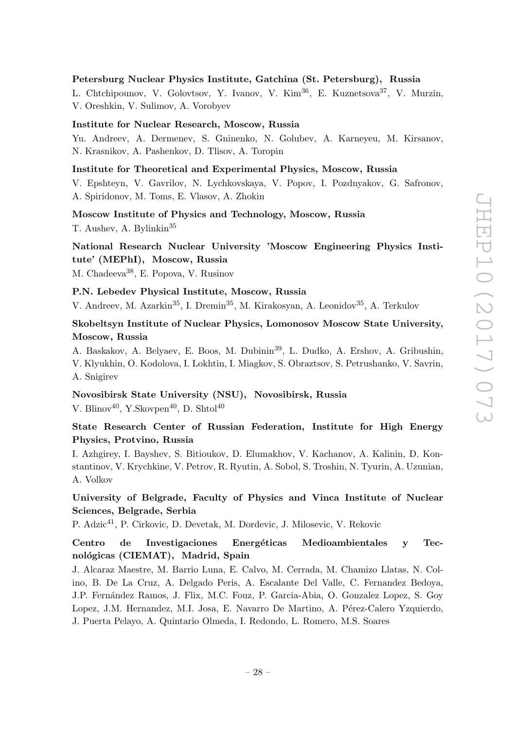### Petersburg Nuclear Physics Institute, Gatchina (St. Petersburg), Russia

L. Chtchipounov, V. Golovtsov, Y. Ivanov, V. Kim<sup>36</sup>, E. Kuznetsova<sup>37</sup>, V. Murzin, V. Oreshkin, V. Sulimov, A. Vorobyev

#### Institute for Nuclear Research, Moscow, Russia

Yu. Andreev, A. Dermenev, S. Gninenko, N. Golubev, A. Karneyeu, M. Kirsanov, N. Krasnikov, A. Pashenkov, D. Tlisov, A. Toropin

#### Institute for Theoretical and Experimental Physics, Moscow, Russia

V. Epshteyn, V. Gavrilov, N. Lychkovskaya, V. Popov, I. Pozdnyakov, G. Safronov, A. Spiridonov, M. Toms, E. Vlasov, A. Zhokin

Moscow Institute of Physics and Technology, Moscow, Russia

T. Aushev, A. Bylinkin<sup>35</sup>

# National Research Nuclear University 'Moscow Engineering Physics Institute' (MEPhI), Moscow, Russia

M. Chadeeva38, E. Popova, V. Rusinov

P.N. Lebedev Physical Institute, Moscow, Russia

V. Andreev, M. Azarkin<sup>35</sup>, I. Dremin<sup>35</sup>, M. Kirakosyan, A. Leonidov<sup>35</sup>, A. Terkulov

# Skobeltsyn Institute of Nuclear Physics, Lomonosov Moscow State University, Moscow, Russia

A. Baskakov, A. Belyaev, E. Boos, M. Dubinin39, L. Dudko, A. Ershov, A. Gribushin, V. Klyukhin, O. Kodolova, I. Lokhtin, I. Miagkov, S. Obraztsov, S. Petrushanko, V. Savrin, A. Snigirev

Novosibirsk State University (NSU), Novosibirsk, Russia

V. Blinov<sup>40</sup>, Y.Skovpen<sup>40</sup>, D. Shtol<sup>40</sup>

# State Research Center of Russian Federation, Institute for High Energy Physics, Protvino, Russia

I. Azhgirey, I. Bayshev, S. Bitioukov, D. Elumakhov, V. Kachanov, A. Kalinin, D. Konstantinov, V. Krychkine, V. Petrov, R. Ryutin, A. Sobol, S. Troshin, N. Tyurin, A. Uzunian, A. Volkov

# University of Belgrade, Faculty of Physics and Vinca Institute of Nuclear Sciences, Belgrade, Serbia

P. Adzic<sup>41</sup>, P. Cirkovic, D. Devetak, M. Dordevic, J. Milosevic, V. Rekovic

# Centro de Investigaciones Energéticas Medioambientales y Tecnológicas (CIEMAT), Madrid, Spain

J. Alcaraz Maestre, M. Barrio Luna, E. Calvo, M. Cerrada, M. Chamizo Llatas, N. Colino, B. De La Cruz, A. Delgado Peris, A. Escalante Del Valle, C. Fernandez Bedoya, J.P. Fern´andez Ramos, J. Flix, M.C. Fouz, P. Garcia-Abia, O. Gonzalez Lopez, S. Goy Lopez, J.M. Hernandez, M.I. Josa, E. Navarro De Martino, A. Pérez-Calero Yzquierdo, J. Puerta Pelayo, A. Quintario Olmeda, I. Redondo, L. Romero, M.S. Soares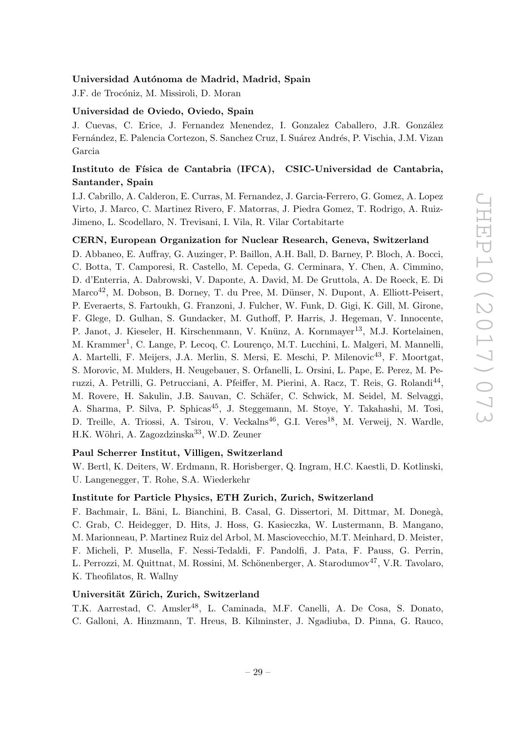#### Universidad Autónoma de Madrid, Madrid, Spain

J.F. de Trocóniz, M. Missiroli, D. Moran

#### Universidad de Oviedo, Oviedo, Spain

J. Cuevas, C. Erice, J. Fernandez Menendez, I. Gonzalez Caballero, J.R. González Fernández, E. Palencia Cortezon, S. Sanchez Cruz, I. Suárez Andrés, P. Vischia, J.M. Vizan Garcia

# Instituto de Física de Cantabria (IFCA), CSIC-Universidad de Cantabria, Santander, Spain

I.J. Cabrillo, A. Calderon, E. Curras, M. Fernandez, J. Garcia-Ferrero, G. Gomez, A. Lopez Virto, J. Marco, C. Martinez Rivero, F. Matorras, J. Piedra Gomez, T. Rodrigo, A. Ruiz-Jimeno, L. Scodellaro, N. Trevisani, I. Vila, R. Vilar Cortabitarte

#### CERN, European Organization for Nuclear Research, Geneva, Switzerland

D. Abbaneo, E. Auffray, G. Auzinger, P. Baillon, A.H. Ball, D. Barney, P. Bloch, A. Bocci, C. Botta, T. Camporesi, R. Castello, M. Cepeda, G. Cerminara, Y. Chen, A. Cimmino, D. d'Enterria, A. Dabrowski, V. Daponte, A. David, M. De Gruttola, A. De Roeck, E. Di Marco<sup>42</sup>, M. Dobson, B. Dorney, T. du Pree, M. Dünser, N. Dupont, A. Elliott-Peisert, P. Everaerts, S. Fartoukh, G. Franzoni, J. Fulcher, W. Funk, D. Gigi, K. Gill, M. Girone, F. Glege, D. Gulhan, S. Gundacker, M. Guthoff, P. Harris, J. Hegeman, V. Innocente, P. Janot, J. Kieseler, H. Kirschenmann, V. Knünz, A. Kornmayer<sup>13</sup>, M.J. Kortelainen, M. Krammer<sup>1</sup>, C. Lange, P. Lecoq, C. Lourenço, M.T. Lucchini, L. Malgeri, M. Mannelli, A. Martelli, F. Meijers, J.A. Merlin, S. Mersi, E. Meschi, P. Milenovic<sup>43</sup>, F. Moortgat, S. Morovic, M. Mulders, H. Neugebauer, S. Orfanelli, L. Orsini, L. Pape, E. Perez, M. Peruzzi, A. Petrilli, G. Petrucciani, A. Pfeiffer, M. Pierini, A. Racz, T. Reis, G. Rolandi<sup>44</sup>, M. Rovere, H. Sakulin, J.B. Sauvan, C. Schäfer, C. Schwick, M. Seidel, M. Selvaggi, A. Sharma, P. Silva, P. Sphicas45, J. Steggemann, M. Stoye, Y. Takahashi, M. Tosi, D. Treille, A. Triossi, A. Tsirou, V. Veckalns<sup>46</sup>, G.I. Veres<sup>18</sup>, M. Verweij, N. Wardle, H.K. Wöhri, A. Zagozdzinska<sup>33</sup>, W.D. Zeuner

#### Paul Scherrer Institut, Villigen, Switzerland

W. Bertl, K. Deiters, W. Erdmann, R. Horisberger, Q. Ingram, H.C. Kaestli, D. Kotlinski, U. Langenegger, T. Rohe, S.A. Wiederkehr

#### Institute for Particle Physics, ETH Zurich, Zurich, Switzerland

F. Bachmair, L. Bäni, L. Bianchini, B. Casal, G. Dissertori, M. Dittmar, M. Donegà, C. Grab, C. Heidegger, D. Hits, J. Hoss, G. Kasieczka, W. Lustermann, B. Mangano, M. Marionneau, P. Martinez Ruiz del Arbol, M. Masciovecchio, M.T. Meinhard, D. Meister, F. Micheli, P. Musella, F. Nessi-Tedaldi, F. Pandolfi, J. Pata, F. Pauss, G. Perrin, L. Perrozzi, M. Quittnat, M. Rossini, M. Schönenberger, A. Starodumov<sup>47</sup>, V.R. Tavolaro, K. Theofilatos, R. Wallny

#### Universität Zürich, Zurich, Switzerland

T.K. Aarrestad, C. Amsler<sup>48</sup>, L. Caminada, M.F. Canelli, A. De Cosa, S. Donato, C. Galloni, A. Hinzmann, T. Hreus, B. Kilminster, J. Ngadiuba, D. Pinna, G. Rauco,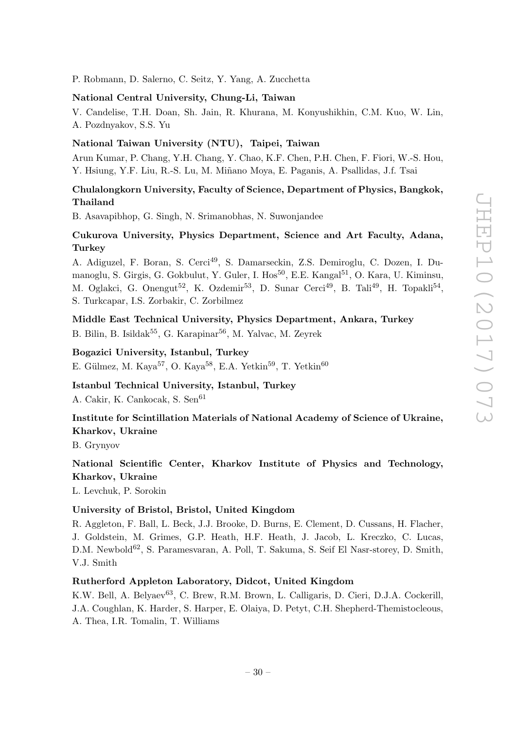P. Robmann, D. Salerno, C. Seitz, Y. Yang, A. Zucchetta

#### National Central University, Chung-Li, Taiwan

V. Candelise, T.H. Doan, Sh. Jain, R. Khurana, M. Konyushikhin, C.M. Kuo, W. Lin, A. Pozdnyakov, S.S. Yu

# National Taiwan University (NTU), Taipei, Taiwan

Arun Kumar, P. Chang, Y.H. Chang, Y. Chao, K.F. Chen, P.H. Chen, F. Fiori, W.-S. Hou, Y. Hsiung, Y.F. Liu, R.-S. Lu, M. Miñano Moya, E. Paganis, A. Psallidas, J.f. Tsai

# Chulalongkorn University, Faculty of Science, Department of Physics, Bangkok, Thailand

B. Asavapibhop, G. Singh, N. Srimanobhas, N. Suwonjandee

# Cukurova University, Physics Department, Science and Art Faculty, Adana, **Turkey**

A. Adiguzel, F. Boran, S. Cerci<sup>49</sup>, S. Damarseckin, Z.S. Demiroglu, C. Dozen, I. Dumanoglu, S. Girgis, G. Gokbulut, Y. Guler, I. Hos<sup>50</sup>, E.E. Kangal<sup>51</sup>, O. Kara, U. Kiminsu, M. Oglakci, G. Onengut<sup>52</sup>, K. Ozdemir<sup>53</sup>, D. Sunar Cerci<sup>49</sup>, B. Tali<sup>49</sup>, H. Topakli<sup>54</sup>, S. Turkcapar, I.S. Zorbakir, C. Zorbilmez

# Middle East Technical University, Physics Department, Ankara, Turkey

B. Bilin, B. Isildak<sup>55</sup>, G. Karapinar<sup>56</sup>, M. Yalvac, M. Zeyrek

### Bogazici University, Istanbul, Turkey

E. Gülmez, M. Kaya<sup>57</sup>, O. Kaya<sup>58</sup>, E.A. Yetkin<sup>59</sup>, T. Yetkin<sup>60</sup>

# Istanbul Technical University, Istanbul, Turkey

A. Cakir, K. Cankocak, S. Sen<sup>61</sup>

# Institute for Scintillation Materials of National Academy of Science of Ukraine, Kharkov, Ukraine

B. Grynyov

# National Scientific Center, Kharkov Institute of Physics and Technology, Kharkov, Ukraine

L. Levchuk, P. Sorokin

### University of Bristol, Bristol, United Kingdom

R. Aggleton, F. Ball, L. Beck, J.J. Brooke, D. Burns, E. Clement, D. Cussans, H. Flacher, J. Goldstein, M. Grimes, G.P. Heath, H.F. Heath, J. Jacob, L. Kreczko, C. Lucas, D.M. Newbold<sup>62</sup>, S. Paramesvaran, A. Poll, T. Sakuma, S. Seif El Nasr-storey, D. Smith, V.J. Smith

# Rutherford Appleton Laboratory, Didcot, United Kingdom

K.W. Bell, A. Belyaev<sup>63</sup>, C. Brew, R.M. Brown, L. Calligaris, D. Cieri, D.J.A. Cockerill, J.A. Coughlan, K. Harder, S. Harper, E. Olaiya, D. Petyt, C.H. Shepherd-Themistocleous, A. Thea, I.R. Tomalin, T. Williams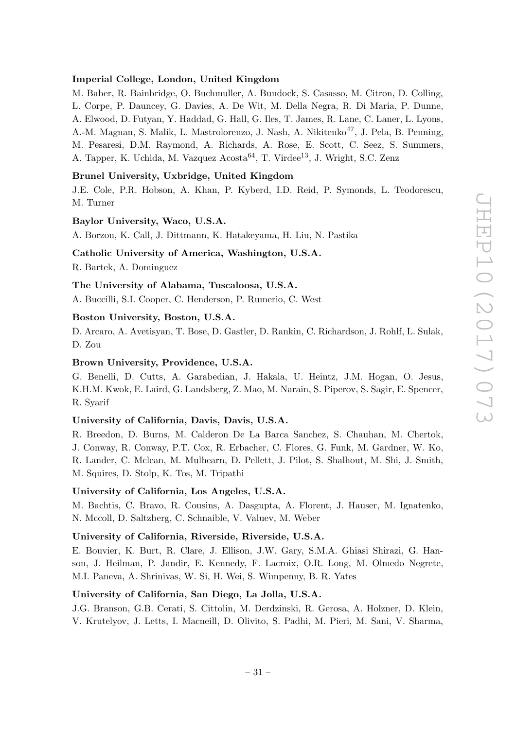#### Imperial College, London, United Kingdom

M. Baber, R. Bainbridge, O. Buchmuller, A. Bundock, S. Casasso, M. Citron, D. Colling, L. Corpe, P. Dauncey, G. Davies, A. De Wit, M. Della Negra, R. Di Maria, P. Dunne, A. Elwood, D. Futyan, Y. Haddad, G. Hall, G. Iles, T. James, R. Lane, C. Laner, L. Lyons, A.-M. Magnan, S. Malik, L. Mastrolorenzo, J. Nash, A. Nikitenko<sup>47</sup>, J. Pela, B. Penning, M. Pesaresi, D.M. Raymond, A. Richards, A. Rose, E. Scott, C. Seez, S. Summers, A. Tapper, K. Uchida, M. Vazquez Acosta<sup>64</sup>, T. Virdee<sup>13</sup>, J. Wright, S.C. Zenz

# Brunel University, Uxbridge, United Kingdom

J.E. Cole, P.R. Hobson, A. Khan, P. Kyberd, I.D. Reid, P. Symonds, L. Teodorescu, M. Turner

#### Baylor University, Waco, U.S.A.

A. Borzou, K. Call, J. Dittmann, K. Hatakeyama, H. Liu, N. Pastika

#### Catholic University of America, Washington, U.S.A.

R. Bartek, A. Dominguez

### The University of Alabama, Tuscaloosa, U.S.A.

A. Buccilli, S.I. Cooper, C. Henderson, P. Rumerio, C. West

### Boston University, Boston, U.S.A.

D. Arcaro, A. Avetisyan, T. Bose, D. Gastler, D. Rankin, C. Richardson, J. Rohlf, L. Sulak, D. Zou

#### Brown University, Providence, U.S.A.

G. Benelli, D. Cutts, A. Garabedian, J. Hakala, U. Heintz, J.M. Hogan, O. Jesus, K.H.M. Kwok, E. Laird, G. Landsberg, Z. Mao, M. Narain, S. Piperov, S. Sagir, E. Spencer, R. Syarif

### University of California, Davis, Davis, U.S.A.

R. Breedon, D. Burns, M. Calderon De La Barca Sanchez, S. Chauhan, M. Chertok, J. Conway, R. Conway, P.T. Cox, R. Erbacher, C. Flores, G. Funk, M. Gardner, W. Ko, R. Lander, C. Mclean, M. Mulhearn, D. Pellett, J. Pilot, S. Shalhout, M. Shi, J. Smith, M. Squires, D. Stolp, K. Tos, M. Tripathi

#### University of California, Los Angeles, U.S.A.

M. Bachtis, C. Bravo, R. Cousins, A. Dasgupta, A. Florent, J. Hauser, M. Ignatenko, N. Mccoll, D. Saltzberg, C. Schnaible, V. Valuev, M. Weber

#### University of California, Riverside, Riverside, U.S.A.

E. Bouvier, K. Burt, R. Clare, J. Ellison, J.W. Gary, S.M.A. Ghiasi Shirazi, G. Hanson, J. Heilman, P. Jandir, E. Kennedy, F. Lacroix, O.R. Long, M. Olmedo Negrete, M.I. Paneva, A. Shrinivas, W. Si, H. Wei, S. Wimpenny, B. R. Yates

#### University of California, San Diego, La Jolla, U.S.A.

J.G. Branson, G.B. Cerati, S. Cittolin, M. Derdzinski, R. Gerosa, A. Holzner, D. Klein, V. Krutelyov, J. Letts, I. Macneill, D. Olivito, S. Padhi, M. Pieri, M. Sani, V. Sharma,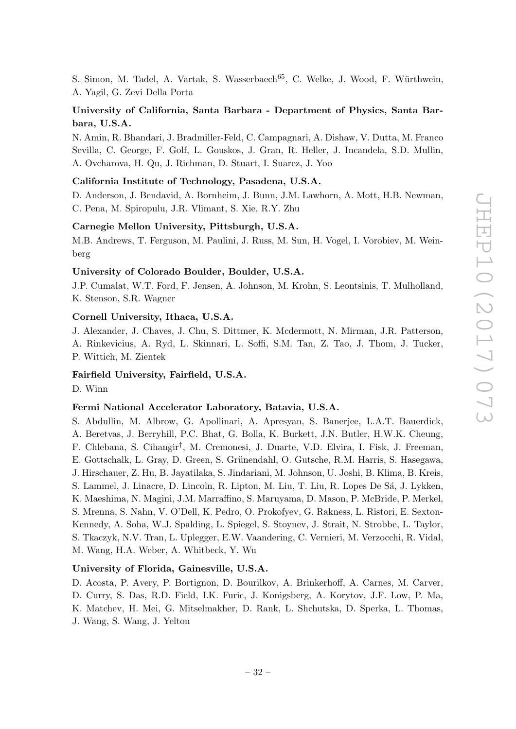S. Simon, M. Tadel, A. Vartak, S. Wasserbaech<sup>65</sup>, C. Welke, J. Wood, F. Würthwein, A. Yagil, G. Zevi Della Porta

# University of California, Santa Barbara - Department of Physics, Santa Barbara, U.S.A.

N. Amin, R. Bhandari, J. Bradmiller-Feld, C. Campagnari, A. Dishaw, V. Dutta, M. Franco Sevilla, C. George, F. Golf, L. Gouskos, J. Gran, R. Heller, J. Incandela, S.D. Mullin, A. Ovcharova, H. Qu, J. Richman, D. Stuart, I. Suarez, J. Yoo

#### California Institute of Technology, Pasadena, U.S.A.

D. Anderson, J. Bendavid, A. Bornheim, J. Bunn, J.M. Lawhorn, A. Mott, H.B. Newman, C. Pena, M. Spiropulu, J.R. Vlimant, S. Xie, R.Y. Zhu

#### Carnegie Mellon University, Pittsburgh, U.S.A.

M.B. Andrews, T. Ferguson, M. Paulini, J. Russ, M. Sun, H. Vogel, I. Vorobiev, M. Weinberg

#### University of Colorado Boulder, Boulder, U.S.A.

J.P. Cumalat, W.T. Ford, F. Jensen, A. Johnson, M. Krohn, S. Leontsinis, T. Mulholland, K. Stenson, S.R. Wagner

### Cornell University, Ithaca, U.S.A.

J. Alexander, J. Chaves, J. Chu, S. Dittmer, K. Mcdermott, N. Mirman, J.R. Patterson, A. Rinkevicius, A. Ryd, L. Skinnari, L. Soffi, S.M. Tan, Z. Tao, J. Thom, J. Tucker, P. Wittich, M. Zientek

#### Fairfield University, Fairfield, U.S.A.

D. Winn

#### Fermi National Accelerator Laboratory, Batavia, U.S.A.

S. Abdullin, M. Albrow, G. Apollinari, A. Apresyan, S. Banerjee, L.A.T. Bauerdick, A. Beretvas, J. Berryhill, P.C. Bhat, G. Bolla, K. Burkett, J.N. Butler, H.W.K. Cheung, F. Chlebana, S. Cihangir† , M. Cremonesi, J. Duarte, V.D. Elvira, I. Fisk, J. Freeman, E. Gottschalk, L. Gray, D. Green, S. Grünendahl, O. Gutsche, R.M. Harris, S. Hasegawa, J. Hirschauer, Z. Hu, B. Jayatilaka, S. Jindariani, M. Johnson, U. Joshi, B. Klima, B. Kreis, S. Lammel, J. Linacre, D. Lincoln, R. Lipton, M. Liu, T. Liu, R. Lopes De Sá, J. Lykken, K. Maeshima, N. Magini, J.M. Marraffino, S. Maruyama, D. Mason, P. McBride, P. Merkel, S. Mrenna, S. Nahn, V. O'Dell, K. Pedro, O. Prokofyev, G. Rakness, L. Ristori, E. Sexton-Kennedy, A. Soha, W.J. Spalding, L. Spiegel, S. Stoynev, J. Strait, N. Strobbe, L. Taylor, S. Tkaczyk, N.V. Tran, L. Uplegger, E.W. Vaandering, C. Vernieri, M. Verzocchi, R. Vidal, M. Wang, H.A. Weber, A. Whitbeck, Y. Wu

#### University of Florida, Gainesville, U.S.A.

D. Acosta, P. Avery, P. Bortignon, D. Bourilkov, A. Brinkerhoff, A. Carnes, M. Carver, D. Curry, S. Das, R.D. Field, I.K. Furic, J. Konigsberg, A. Korytov, J.F. Low, P. Ma, K. Matchev, H. Mei, G. Mitselmakher, D. Rank, L. Shchutska, D. Sperka, L. Thomas, J. Wang, S. Wang, J. Yelton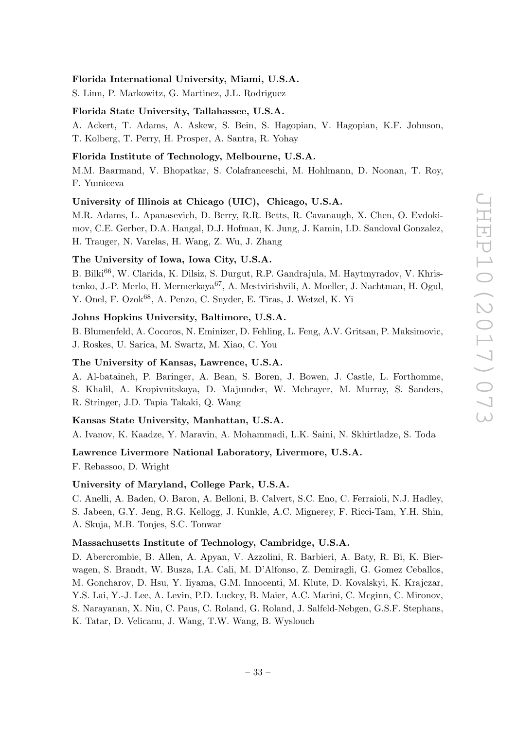#### Florida International University, Miami, U.S.A.

S. Linn, P. Markowitz, G. Martinez, J.L. Rodriguez

#### Florida State University, Tallahassee, U.S.A.

A. Ackert, T. Adams, A. Askew, S. Bein, S. Hagopian, V. Hagopian, K.F. Johnson, T. Kolberg, T. Perry, H. Prosper, A. Santra, R. Yohay

### Florida Institute of Technology, Melbourne, U.S.A.

M.M. Baarmand, V. Bhopatkar, S. Colafranceschi, M. Hohlmann, D. Noonan, T. Roy, F. Yumiceva

#### University of Illinois at Chicago (UIC), Chicago, U.S.A.

M.R. Adams, L. Apanasevich, D. Berry, R.R. Betts, R. Cavanaugh, X. Chen, O. Evdokimov, C.E. Gerber, D.A. Hangal, D.J. Hofman, K. Jung, J. Kamin, I.D. Sandoval Gonzalez, H. Trauger, N. Varelas, H. Wang, Z. Wu, J. Zhang

### The University of Iowa, Iowa City, U.S.A.

B. Bilki<sup>66</sup>, W. Clarida, K. Dilsiz, S. Durgut, R.P. Gandrajula, M. Haytmyradov, V. Khristenko, J.-P. Merlo, H. Mermerkaya<sup>67</sup>, A. Mestvirishvili, A. Moeller, J. Nachtman, H. Ogul, Y. Onel, F. Ozok<sup>68</sup>, A. Penzo, C. Snyder, E. Tiras, J. Wetzel, K. Yi

#### Johns Hopkins University, Baltimore, U.S.A.

B. Blumenfeld, A. Cocoros, N. Eminizer, D. Fehling, L. Feng, A.V. Gritsan, P. Maksimovic, J. Roskes, U. Sarica, M. Swartz, M. Xiao, C. You

#### The University of Kansas, Lawrence, U.S.A.

A. Al-bataineh, P. Baringer, A. Bean, S. Boren, J. Bowen, J. Castle, L. Forthomme, S. Khalil, A. Kropivnitskaya, D. Majumder, W. Mcbrayer, M. Murray, S. Sanders, R. Stringer, J.D. Tapia Takaki, Q. Wang

#### Kansas State University, Manhattan, U.S.A.

A. Ivanov, K. Kaadze, Y. Maravin, A. Mohammadi, L.K. Saini, N. Skhirtladze, S. Toda

#### Lawrence Livermore National Laboratory, Livermore, U.S.A.

F. Rebassoo, D. Wright

#### University of Maryland, College Park, U.S.A.

C. Anelli, A. Baden, O. Baron, A. Belloni, B. Calvert, S.C. Eno, C. Ferraioli, N.J. Hadley, S. Jabeen, G.Y. Jeng, R.G. Kellogg, J. Kunkle, A.C. Mignerey, F. Ricci-Tam, Y.H. Shin, A. Skuja, M.B. Tonjes, S.C. Tonwar

# Massachusetts Institute of Technology, Cambridge, U.S.A.

D. Abercrombie, B. Allen, A. Apyan, V. Azzolini, R. Barbieri, A. Baty, R. Bi, K. Bierwagen, S. Brandt, W. Busza, I.A. Cali, M. D'Alfonso, Z. Demiragli, G. Gomez Ceballos, M. Goncharov, D. Hsu, Y. Iiyama, G.M. Innocenti, M. Klute, D. Kovalskyi, K. Krajczar, Y.S. Lai, Y.-J. Lee, A. Levin, P.D. Luckey, B. Maier, A.C. Marini, C. Mcginn, C. Mironov, S. Narayanan, X. Niu, C. Paus, C. Roland, G. Roland, J. Salfeld-Nebgen, G.S.F. Stephans, K. Tatar, D. Velicanu, J. Wang, T.W. Wang, B. Wyslouch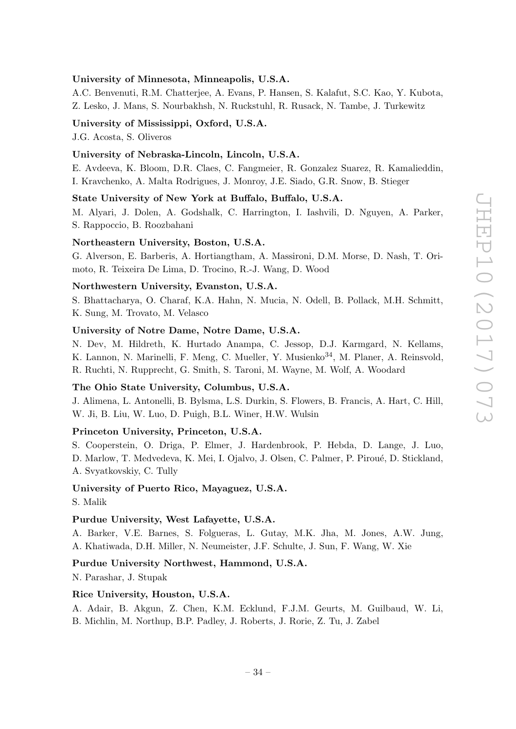#### University of Minnesota, Minneapolis, U.S.A.

A.C. Benvenuti, R.M. Chatterjee, A. Evans, P. Hansen, S. Kalafut, S.C. Kao, Y. Kubota, Z. Lesko, J. Mans, S. Nourbakhsh, N. Ruckstuhl, R. Rusack, N. Tambe, J. Turkewitz

#### University of Mississippi, Oxford, U.S.A.

J.G. Acosta, S. Oliveros

#### University of Nebraska-Lincoln, Lincoln, U.S.A.

E. Avdeeva, K. Bloom, D.R. Claes, C. Fangmeier, R. Gonzalez Suarez, R. Kamalieddin, I. Kravchenko, A. Malta Rodrigues, J. Monroy, J.E. Siado, G.R. Snow, B. Stieger

#### State University of New York at Buffalo, Buffalo, U.S.A.

M. Alyari, J. Dolen, A. Godshalk, C. Harrington, I. Iashvili, D. Nguyen, A. Parker, S. Rappoccio, B. Roozbahani

#### Northeastern University, Boston, U.S.A.

G. Alverson, E. Barberis, A. Hortiangtham, A. Massironi, D.M. Morse, D. Nash, T. Orimoto, R. Teixeira De Lima, D. Trocino, R.-J. Wang, D. Wood

#### Northwestern University, Evanston, U.S.A.

S. Bhattacharya, O. Charaf, K.A. Hahn, N. Mucia, N. Odell, B. Pollack, M.H. Schmitt, K. Sung, M. Trovato, M. Velasco

#### University of Notre Dame, Notre Dame, U.S.A.

N. Dev, M. Hildreth, K. Hurtado Anampa, C. Jessop, D.J. Karmgard, N. Kellams, K. Lannon, N. Marinelli, F. Meng, C. Mueller, Y. Musienko<sup>34</sup>, M. Planer, A. Reinsvold, R. Ruchti, N. Rupprecht, G. Smith, S. Taroni, M. Wayne, M. Wolf, A. Woodard

#### The Ohio State University, Columbus, U.S.A.

J. Alimena, L. Antonelli, B. Bylsma, L.S. Durkin, S. Flowers, B. Francis, A. Hart, C. Hill, W. Ji, B. Liu, W. Luo, D. Puigh, B.L. Winer, H.W. Wulsin

#### Princeton University, Princeton, U.S.A.

S. Cooperstein, O. Driga, P. Elmer, J. Hardenbrook, P. Hebda, D. Lange, J. Luo, D. Marlow, T. Medvedeva, K. Mei, I. Ojalvo, J. Olsen, C. Palmer, P. Piroué, D. Stickland, A. Svyatkovskiy, C. Tully

#### University of Puerto Rico, Mayaguez, U.S.A.

S. Malik

#### Purdue University, West Lafayette, U.S.A.

A. Barker, V.E. Barnes, S. Folgueras, L. Gutay, M.K. Jha, M. Jones, A.W. Jung, A. Khatiwada, D.H. Miller, N. Neumeister, J.F. Schulte, J. Sun, F. Wang, W. Xie

#### Purdue University Northwest, Hammond, U.S.A.

N. Parashar, J. Stupak

#### Rice University, Houston, U.S.A.

A. Adair, B. Akgun, Z. Chen, K.M. Ecklund, F.J.M. Geurts, M. Guilbaud, W. Li, B. Michlin, M. Northup, B.P. Padley, J. Roberts, J. Rorie, Z. Tu, J. Zabel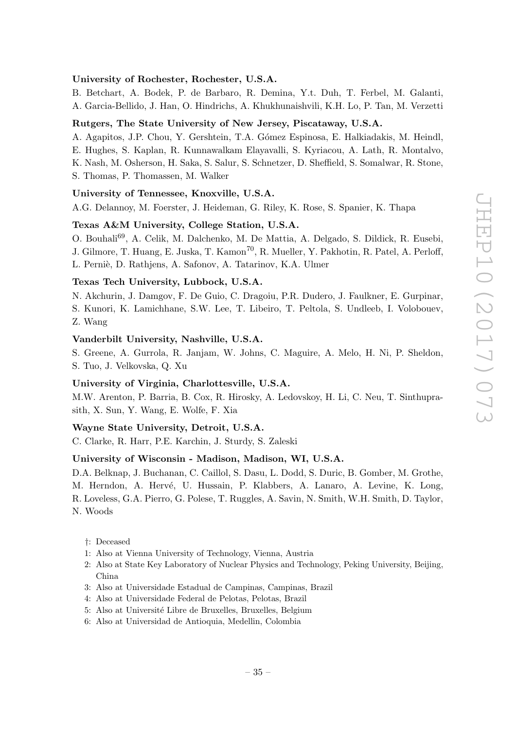#### University of Rochester, Rochester, U.S.A.

B. Betchart, A. Bodek, P. de Barbaro, R. Demina, Y.t. Duh, T. Ferbel, M. Galanti, A. Garcia-Bellido, J. Han, O. Hindrichs, A. Khukhunaishvili, K.H. Lo, P. Tan, M. Verzetti

#### Rutgers, The State University of New Jersey, Piscataway, U.S.A.

A. Agapitos, J.P. Chou, Y. Gershtein, T.A. Gómez Espinosa, E. Halkiadakis, M. Heindl,

E. Hughes, S. Kaplan, R. Kunnawalkam Elayavalli, S. Kyriacou, A. Lath, R. Montalvo,

K. Nash, M. Osherson, H. Saka, S. Salur, S. Schnetzer, D. Sheffield, S. Somalwar, R. Stone,

S. Thomas, P. Thomassen, M. Walker

#### University of Tennessee, Knoxville, U.S.A.

A.G. Delannoy, M. Foerster, J. Heideman, G. Riley, K. Rose, S. Spanier, K. Thapa

#### Texas A&M University, College Station, U.S.A.

O. Bouhali<sup>69</sup>, A. Celik, M. Dalchenko, M. De Mattia, A. Delgado, S. Dildick, R. Eusebi,

J. Gilmore, T. Huang, E. Juska, T. Kamon<sup>70</sup>, R. Mueller, Y. Pakhotin, R. Patel, A. Perloff,

L. Perniè, D. Rathjens, A. Safonov, A. Tatarinov, K.A. Ulmer

### Texas Tech University, Lubbock, U.S.A.

N. Akchurin, J. Damgov, F. De Guio, C. Dragoiu, P.R. Dudero, J. Faulkner, E. Gurpinar, S. Kunori, K. Lamichhane, S.W. Lee, T. Libeiro, T. Peltola, S. Undleeb, I. Volobouev, Z. Wang

#### Vanderbilt University, Nashville, U.S.A.

S. Greene, A. Gurrola, R. Janjam, W. Johns, C. Maguire, A. Melo, H. Ni, P. Sheldon, S. Tuo, J. Velkovska, Q. Xu

### University of Virginia, Charlottesville, U.S.A.

M.W. Arenton, P. Barria, B. Cox, R. Hirosky, A. Ledovskoy, H. Li, C. Neu, T. Sinthuprasith, X. Sun, Y. Wang, E. Wolfe, F. Xia

#### Wayne State University, Detroit, U.S.A.

C. Clarke, R. Harr, P.E. Karchin, J. Sturdy, S. Zaleski

#### University of Wisconsin - Madison, Madison, WI, U.S.A.

D.A. Belknap, J. Buchanan, C. Caillol, S. Dasu, L. Dodd, S. Duric, B. Gomber, M. Grothe, M. Herndon, A. Hervé, U. Hussain, P. Klabbers, A. Lanaro, A. Levine, K. Long, R. Loveless, G.A. Pierro, G. Polese, T. Ruggles, A. Savin, N. Smith, W.H. Smith, D. Taylor, N. Woods

- †: Deceased
- 1: Also at Vienna University of Technology, Vienna, Austria
- 2: Also at State Key Laboratory of Nuclear Physics and Technology, Peking University, Beijing, China
- 3: Also at Universidade Estadual de Campinas, Campinas, Brazil
- 4: Also at Universidade Federal de Pelotas, Pelotas, Brazil
- 5: Also at Université Libre de Bruxelles, Bruxelles, Belgium
- 6: Also at Universidad de Antioquia, Medellin, Colombia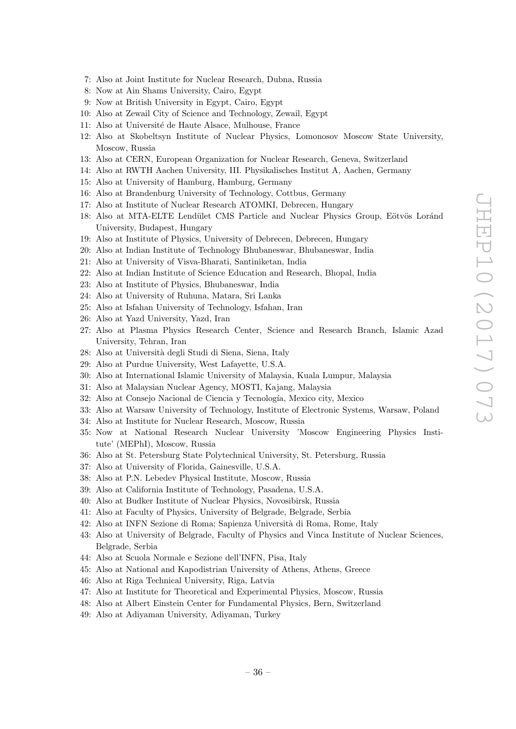- 7: Also at Joint Institute for Nuclear Research, Dubna, Russia
- 8: Now at Ain Shams University, Cairo, Egypt
- 9: Now at British University in Egypt, Cairo, Egypt
- 10: Also at Zewail City of Science and Technology, Zewail, Egypt
- 11: Also at Université de Haute Alsace, Mulhouse, France
- 12: Also at Skobeltsyn Institute of Nuclear Physics, Lomonosov Moscow State University, Moscow, Russia
- 13: Also at CERN, European Organization for Nuclear Research, Geneva, Switzerland
- 14: Also at RWTH Aachen University, III. Physikalisches Institut A, Aachen, Germany
- 15: Also at University of Hamburg, Hamburg, Germany
- 16: Also at Brandenburg University of Technology, Cottbus, Germany
- 17: Also at Institute of Nuclear Research ATOMKI, Debrecen, Hungary
- 18: Also at MTA-ELTE Lendület CMS Particle and Nuclear Physics Group, Eötvös Loránd University, Budapest, Hungary
- 19: Also at Institute of Physics, University of Debrecen, Debrecen, Hungary
- 20: Also at Indian Institute of Technology Bhubaneswar, Bhubaneswar, India
- 21: Also at University of Visva-Bharati, Santiniketan, India
- 22: Also at Indian Institute of Science Education and Research, Bhopal, India
- 23: Also at Institute of Physics, Bhubaneswar, India
- 24: Also at University of Ruhuna, Matara, Sri Lanka
- 25: Also at Isfahan University of Technology, Isfahan, Iran
- 26: Also at Yazd University, Yazd, Iran
- 27: Also at Plasma Physics Research Center, Science and Research Branch, Islamic Azad University, Tehran, Iran
- 28: Also at Universit`a degli Studi di Siena, Siena, Italy
- 29: Also at Purdue University, West Lafayette, U.S.A.
- 30: Also at International Islamic University of Malaysia, Kuala Lumpur, Malaysia
- 31: Also at Malaysian Nuclear Agency, MOSTI, Kajang, Malaysia
- 32: Also at Consejo Nacional de Ciencia y Tecnología, Mexico city, Mexico
- 33: Also at Warsaw University of Technology, Institute of Electronic Systems, Warsaw, Poland
- 34: Also at Institute for Nuclear Research, Moscow, Russia
- 35: Now at National Research Nuclear University 'Moscow Engineering Physics Institute' (MEPhI), Moscow, Russia
- 36: Also at St. Petersburg State Polytechnical University, St. Petersburg, Russia
- 37: Also at University of Florida, Gainesville, U.S.A.
- 38: Also at P.N. Lebedev Physical Institute, Moscow, Russia
- 39: Also at California Institute of Technology, Pasadena, U.S.A.
- 40: Also at Budker Institute of Nuclear Physics, Novosibirsk, Russia
- 41: Also at Faculty of Physics, University of Belgrade, Belgrade, Serbia
- 42: Also at INFN Sezione di Roma; Sapienza Università di Roma, Rome, Italy
- 43: Also at University of Belgrade, Faculty of Physics and Vinca Institute of Nuclear Sciences, Belgrade, Serbia
- 44: Also at Scuola Normale e Sezione dell'INFN, Pisa, Italy
- 45: Also at National and Kapodistrian University of Athens, Athens, Greece
- 46: Also at Riga Technical University, Riga, Latvia
- 47: Also at Institute for Theoretical and Experimental Physics, Moscow, Russia
- 48: Also at Albert Einstein Center for Fundamental Physics, Bern, Switzerland
- 49: Also at Adiyaman University, Adiyaman, Turkey